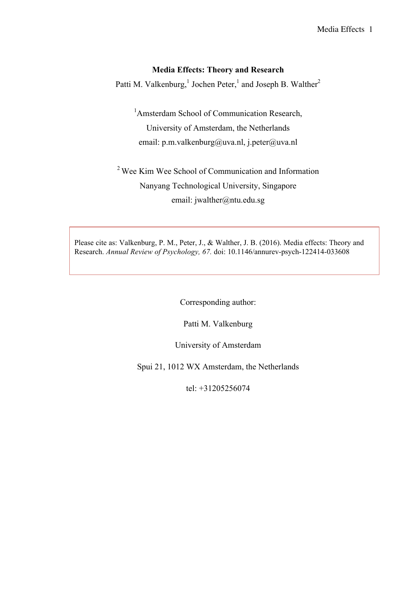## **Media Effects: Theory and Research**

Patti M. Valkenburg,<sup>1</sup> Jochen Peter,<sup>1</sup> and Joseph B. Walther<sup>2</sup>

<sup>1</sup> Amsterdam School of Communication Research, University of Amsterdam, the Netherlands email: p.m.valkenburg@uva.nl, j.peter@uva.nl

2 Wee Kim Wee School of Communication and Information Nanyang Technological University, Singapore email: jwalther@ntu.edu.sg

Please cite as: Valkenburg, P. M., Peter, J., & Walther, J. B. (2016). Media effects: Theory and Research. *Annual Review of Psychology, 67.* doi: 10.1146/annurev-psych-122414-033608

Corresponding author:

Patti M. Valkenburg

University of Amsterdam

Spui 21, 1012 WX Amsterdam, the Netherlands

tel: +31205256074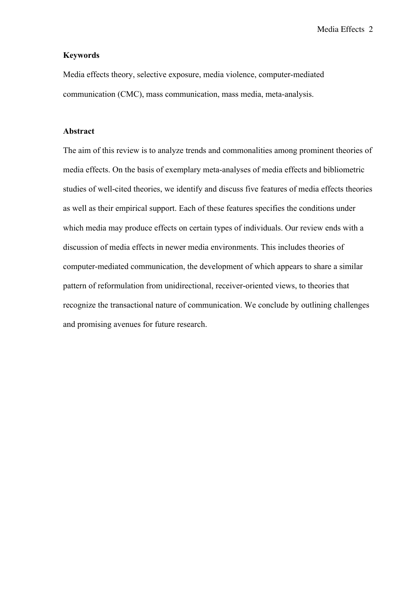# **Keywords**

Media effects theory, selective exposure, media violence, computer-mediated communication (CMC), mass communication, mass media, meta-analysis.

# **Abstract**

The aim of this review is to analyze trends and commonalities among prominent theories of media effects. On the basis of exemplary meta-analyses of media effects and bibliometric studies of well-cited theories, we identify and discuss five features of media effects theories as well as their empirical support. Each of these features specifies the conditions under which media may produce effects on certain types of individuals. Our review ends with a discussion of media effects in newer media environments. This includes theories of computer-mediated communication, the development of which appears to share a similar pattern of reformulation from unidirectional, receiver-oriented views, to theories that recognize the transactional nature of communication. We conclude by outlining challenges and promising avenues for future research.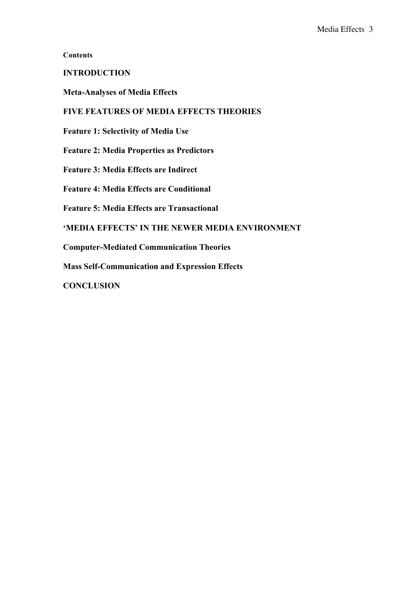**Contents**

**INTRODUCTION**

**Meta-Analyses of Media Effects**

**FIVE FEATURES OF MEDIA EFFECTS THEORIES** 

**Feature 1: Selectivity of Media Use**

**Feature 2: Media Properties as Predictors**

**Feature 3: Media Effects are Indirect** 

**Feature 4: Media Effects are Conditional**

**Feature 5: Media Effects are Transactional**

**'MEDIA EFFECTS' IN THE NEWER MEDIA ENVIRONMENT**

**Computer-Mediated Communication Theories**

**Mass Self-Communication and Expression Effects**

**CONCLUSION**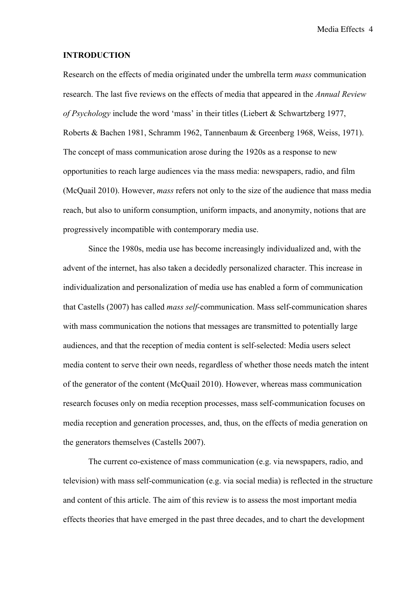#### **INTRODUCTION**

Research on the effects of media originated under the umbrella term *mass* communication research. The last five reviews on the effects of media that appeared in the *Annual Review of Psychology* include the word 'mass' in their titles (Liebert & Schwartzberg 1977, Roberts & Bachen 1981, Schramm 1962, Tannenbaum & Greenberg 1968, Weiss, 1971). The concept of mass communication arose during the 1920s as a response to new opportunities to reach large audiences via the mass media: newspapers, radio, and film (McQuail 2010). However, *mass* refers not only to the size of the audience that mass media reach, but also to uniform consumption, uniform impacts, and anonymity, notions that are progressively incompatible with contemporary media use.

Since the 1980s, media use has become increasingly individualized and, with the advent of the internet, has also taken a decidedly personalized character. This increase in individualization and personalization of media use has enabled a form of communication that Castells (2007) has called *mass self-*communication. Mass self-communication shares with mass communication the notions that messages are transmitted to potentially large audiences, and that the reception of media content is self-selected: Media users select media content to serve their own needs, regardless of whether those needs match the intent of the generator of the content (McQuail 2010). However, whereas mass communication research focuses only on media reception processes, mass self-communication focuses on media reception and generation processes, and, thus, on the effects of media generation on the generators themselves (Castells 2007).

The current co-existence of mass communication (e.g. via newspapers, radio, and television) with mass self-communication (e.g. via social media) is reflected in the structure and content of this article. The aim of this review is to assess the most important media effects theories that have emerged in the past three decades, and to chart the development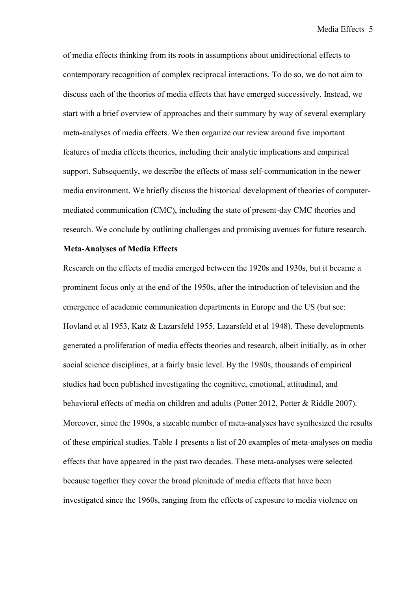of media effects thinking from its roots in assumptions about unidirectional effects to contemporary recognition of complex reciprocal interactions. To do so, we do not aim to discuss each of the theories of media effects that have emerged successively. Instead, we start with a brief overview of approaches and their summary by way of several exemplary meta-analyses of media effects. We then organize our review around five important features of media effects theories, including their analytic implications and empirical support. Subsequently, we describe the effects of mass self-communication in the newer media environment. We briefly discuss the historical development of theories of computermediated communication (CMC), including the state of present-day CMC theories and research. We conclude by outlining challenges and promising avenues for future research.

# **Meta-Analyses of Media Effects**

Research on the effects of media emerged between the 1920s and 1930s, but it became a prominent focus only at the end of the 1950s, after the introduction of television and the emergence of academic communication departments in Europe and the US (but see: Hovland et al 1953, Katz & Lazarsfeld 1955, Lazarsfeld et al 1948). These developments generated a proliferation of media effects theories and research, albeit initially, as in other social science disciplines, at a fairly basic level. By the 1980s, thousands of empirical studies had been published investigating the cognitive, emotional, attitudinal, and behavioral effects of media on children and adults (Potter 2012, Potter & Riddle 2007). Moreover, since the 1990s, a sizeable number of meta-analyses have synthesized the results of these empirical studies. Table 1 presents a list of 20 examples of meta-analyses on media effects that have appeared in the past two decades. These meta-analyses were selected because together they cover the broad plenitude of media effects that have been investigated since the 1960s, ranging from the effects of exposure to media violence on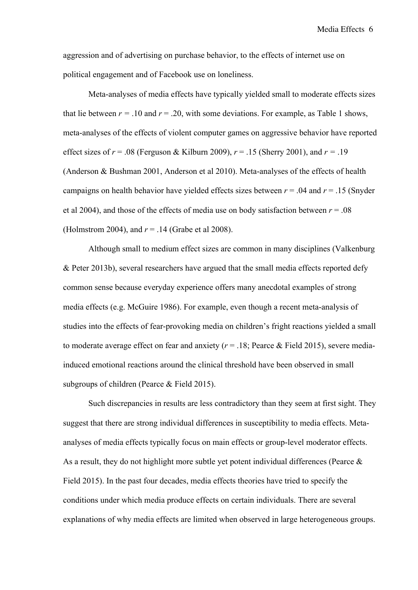aggression and of advertising on purchase behavior, to the effects of internet use on political engagement and of Facebook use on loneliness.

Meta-analyses of media effects have typically yielded small to moderate effects sizes that lie between  $r = .10$  and  $r = .20$ , with some deviations. For example, as Table 1 shows, meta-analyses of the effects of violent computer games on aggressive behavior have reported effect sizes of *r* = .08 (Ferguson & Kilburn 2009), *r* = .15 (Sherry 2001), and *r =* .19 (Anderson & Bushman 2001, Anderson et al 2010). Meta-analyses of the effects of health campaigns on health behavior have yielded effects sizes between  $r = .04$  and  $r = .15$  (Snyder et al 2004), and those of the effects of media use on body satisfaction between  $r = .08$ (Holmstrom 2004), and *r* = .14 (Grabe et al 2008).

Although small to medium effect sizes are common in many disciplines (Valkenburg & Peter 2013b), several researchers have argued that the small media effects reported defy common sense because everyday experience offers many anecdotal examples of strong media effects (e.g. McGuire 1986). For example, even though a recent meta-analysis of studies into the effects of fear-provoking media on children's fright reactions yielded a small to moderate average effect on fear and anxiety (*r* = .18; Pearce & Field 2015), severe mediainduced emotional reactions around the clinical threshold have been observed in small subgroups of children (Pearce & Field 2015).

Such discrepancies in results are less contradictory than they seem at first sight. They suggest that there are strong individual differences in susceptibility to media effects. Metaanalyses of media effects typically focus on main effects or group-level moderator effects. As a result, they do not highlight more subtle yet potent individual differences (Pearce & Field 2015). In the past four decades, media effects theories have tried to specify the conditions under which media produce effects on certain individuals. There are several explanations of why media effects are limited when observed in large heterogeneous groups.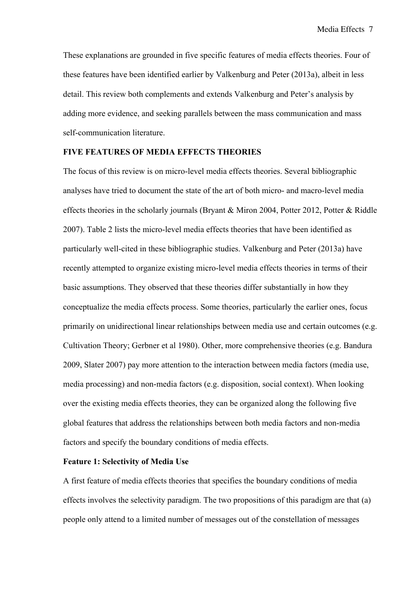These explanations are grounded in five specific features of media effects theories. Four of these features have been identified earlier by Valkenburg and Peter (2013a), albeit in less detail. This review both complements and extends Valkenburg and Peter's analysis by adding more evidence, and seeking parallels between the mass communication and mass self-communication literature.

## **FIVE FEATURES OF MEDIA EFFECTS THEORIES**

The focus of this review is on micro-level media effects theories. Several bibliographic analyses have tried to document the state of the art of both micro- and macro-level media effects theories in the scholarly journals (Bryant & Miron 2004, Potter 2012, Potter & Riddle 2007). Table 2 lists the micro-level media effects theories that have been identified as particularly well-cited in these bibliographic studies. Valkenburg and Peter (2013a) have recently attempted to organize existing micro-level media effects theories in terms of their basic assumptions. They observed that these theories differ substantially in how they conceptualize the media effects process. Some theories, particularly the earlier ones, focus primarily on unidirectional linear relationships between media use and certain outcomes (e.g. Cultivation Theory; Gerbner et al 1980). Other, more comprehensive theories (e.g. Bandura 2009, Slater 2007) pay more attention to the interaction between media factors (media use, media processing) and non-media factors (e.g. disposition, social context). When looking over the existing media effects theories, they can be organized along the following five global features that address the relationships between both media factors and non-media factors and specify the boundary conditions of media effects.

# **Feature 1: Selectivity of Media Use**

A first feature of media effects theories that specifies the boundary conditions of media effects involves the selectivity paradigm. The two propositions of this paradigm are that (a) people only attend to a limited number of messages out of the constellation of messages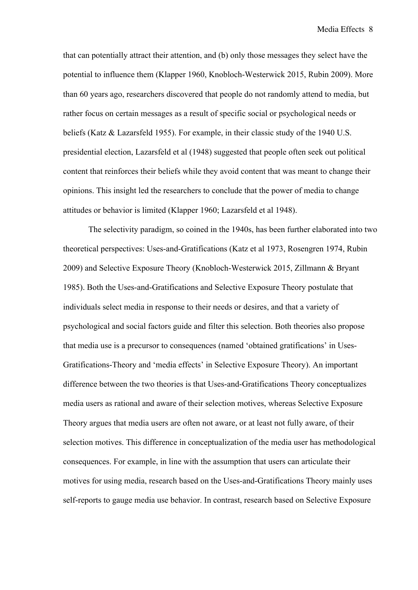that can potentially attract their attention, and (b) only those messages they select have the potential to influence them (Klapper 1960, Knobloch-Westerwick 2015, Rubin 2009). More than 60 years ago, researchers discovered that people do not randomly attend to media, but rather focus on certain messages as a result of specific social or psychological needs or beliefs (Katz & Lazarsfeld 1955). For example, in their classic study of the 1940 U.S. presidential election, Lazarsfeld et al (1948) suggested that people often seek out political content that reinforces their beliefs while they avoid content that was meant to change their opinions. This insight led the researchers to conclude that the power of media to change attitudes or behavior is limited (Klapper 1960; Lazarsfeld et al 1948).

The selectivity paradigm, so coined in the 1940s, has been further elaborated into two theoretical perspectives: Uses-and-Gratifications (Katz et al 1973, Rosengren 1974, Rubin 2009) and Selective Exposure Theory (Knobloch-Westerwick 2015, Zillmann & Bryant 1985). Both the Uses-and-Gratifications and Selective Exposure Theory postulate that individuals select media in response to their needs or desires, and that a variety of psychological and social factors guide and filter this selection. Both theories also propose that media use is a precursor to consequences (named 'obtained gratifications' in Uses-Gratifications-Theory and 'media effects' in Selective Exposure Theory). An important difference between the two theories is that Uses-and-Gratifications Theory conceptualizes media users as rational and aware of their selection motives, whereas Selective Exposure Theory argues that media users are often not aware, or at least not fully aware, of their selection motives. This difference in conceptualization of the media user has methodological consequences. For example, in line with the assumption that users can articulate their motives for using media, research based on the Uses-and-Gratifications Theory mainly uses self-reports to gauge media use behavior. In contrast, research based on Selective Exposure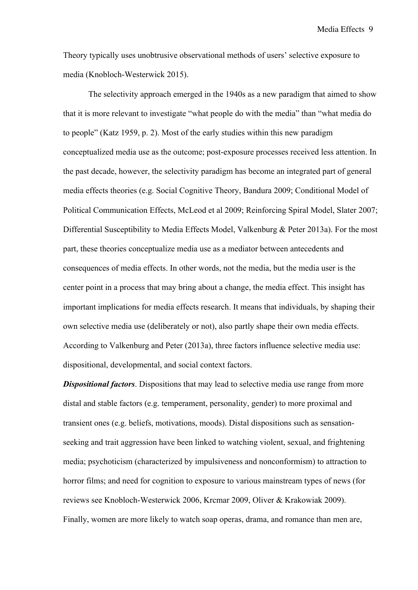Theory typically uses unobtrusive observational methods of users' selective exposure to media (Knobloch-Westerwick 2015).

The selectivity approach emerged in the 1940s as a new paradigm that aimed to show that it is more relevant to investigate "what people do with the media" than "what media do to people" (Katz 1959, p. 2). Most of the early studies within this new paradigm conceptualized media use as the outcome; post-exposure processes received less attention. In the past decade, however, the selectivity paradigm has become an integrated part of general media effects theories (e.g. Social Cognitive Theory, Bandura 2009; Conditional Model of Political Communication Effects, McLeod et al 2009; Reinforcing Spiral Model, Slater 2007; Differential Susceptibility to Media Effects Model, Valkenburg & Peter 2013a). For the most part, these theories conceptualize media use as a mediator between antecedents and consequences of media effects. In other words, not the media, but the media user is the center point in a process that may bring about a change, the media effect. This insight has important implications for media effects research. It means that individuals, by shaping their own selective media use (deliberately or not), also partly shape their own media effects. According to Valkenburg and Peter (2013a), three factors influence selective media use: dispositional, developmental, and social context factors.

*Dispositional factors*. Dispositions that may lead to selective media use range from more distal and stable factors (e.g. temperament, personality, gender) to more proximal and transient ones (e.g. beliefs, motivations, moods). Distal dispositions such as sensationseeking and trait aggression have been linked to watching violent, sexual, and frightening media; psychoticism (characterized by impulsiveness and nonconformism) to attraction to horror films; and need for cognition to exposure to various mainstream types of news (for reviews see Knobloch-Westerwick 2006, Krcmar 2009, Oliver & Krakowiak 2009). Finally, women are more likely to watch soap operas, drama, and romance than men are,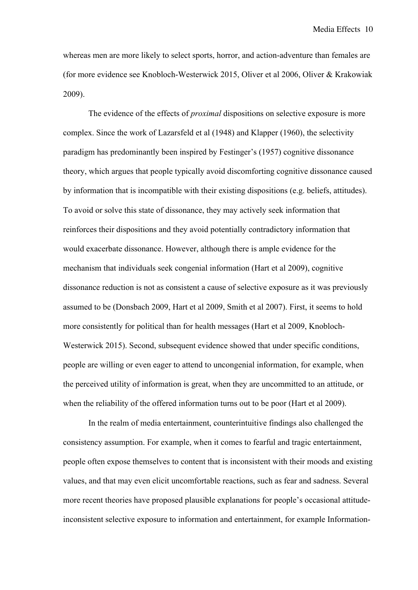whereas men are more likely to select sports, horror, and action-adventure than females are (for more evidence see Knobloch-Westerwick 2015, Oliver et al 2006, Oliver & Krakowiak 2009).

The evidence of the effects of *proximal* dispositions on selective exposure is more complex. Since the work of Lazarsfeld et al (1948) and Klapper (1960), the selectivity paradigm has predominantly been inspired by Festinger's (1957) cognitive dissonance theory, which argues that people typically avoid discomforting cognitive dissonance caused by information that is incompatible with their existing dispositions (e.g. beliefs, attitudes). To avoid or solve this state of dissonance, they may actively seek information that reinforces their dispositions and they avoid potentially contradictory information that would exacerbate dissonance. However, although there is ample evidence for the mechanism that individuals seek congenial information (Hart et al 2009), cognitive dissonance reduction is not as consistent a cause of selective exposure as it was previously assumed to be (Donsbach 2009, Hart et al 2009, Smith et al 2007). First, it seems to hold more consistently for political than for health messages (Hart et al 2009, Knobloch-Westerwick 2015). Second, subsequent evidence showed that under specific conditions, people are willing or even eager to attend to uncongenial information, for example, when the perceived utility of information is great, when they are uncommitted to an attitude, or when the reliability of the offered information turns out to be poor (Hart et al 2009).

In the realm of media entertainment, counterintuitive findings also challenged the consistency assumption. For example, when it comes to fearful and tragic entertainment, people often expose themselves to content that is inconsistent with their moods and existing values, and that may even elicit uncomfortable reactions, such as fear and sadness. Several more recent theories have proposed plausible explanations for people's occasional attitudeinconsistent selective exposure to information and entertainment, for example Information-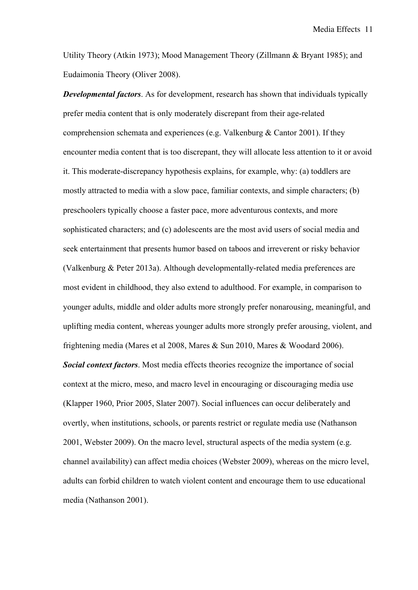Utility Theory (Atkin 1973); Mood Management Theory (Zillmann & Bryant 1985); and Eudaimonia Theory (Oliver 2008).

*Developmental factors*. As for development, research has shown that individuals typically prefer media content that is only moderately discrepant from their age-related comprehension schemata and experiences (e.g. Valkenburg & Cantor 2001). If they encounter media content that is too discrepant, they will allocate less attention to it or avoid it. This moderate-discrepancy hypothesis explains, for example, why: (a) toddlers are mostly attracted to media with a slow pace, familiar contexts, and simple characters; (b) preschoolers typically choose a faster pace, more adventurous contexts, and more sophisticated characters; and (c) adolescents are the most avid users of social media and seek entertainment that presents humor based on taboos and irreverent or risky behavior (Valkenburg & Peter 2013a). Although developmentally-related media preferences are most evident in childhood, they also extend to adulthood. For example, in comparison to younger adults, middle and older adults more strongly prefer nonarousing, meaningful, and uplifting media content, whereas younger adults more strongly prefer arousing, violent, and frightening media (Mares et al 2008, Mares & Sun 2010, Mares & Woodard 2006). *Social context factors*. Most media effects theories recognize the importance of social

context at the micro, meso, and macro level in encouraging or discouraging media use (Klapper 1960, Prior 2005, Slater 2007). Social influences can occur deliberately and overtly, when institutions, schools, or parents restrict or regulate media use (Nathanson 2001, Webster 2009). On the macro level, structural aspects of the media system (e.g. channel availability) can affect media choices (Webster 2009), whereas on the micro level, adults can forbid children to watch violent content and encourage them to use educational media (Nathanson 2001).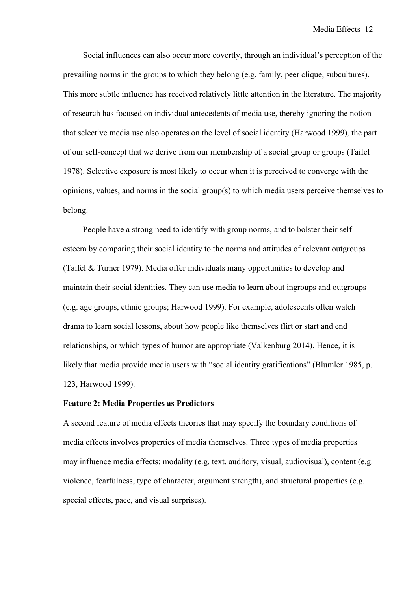Social influences can also occur more covertly, through an individual's perception of the prevailing norms in the groups to which they belong (e.g. family, peer clique, subcultures). This more subtle influence has received relatively little attention in the literature. The majority of research has focused on individual antecedents of media use, thereby ignoring the notion that selective media use also operates on the level of social identity (Harwood 1999), the part of our self-concept that we derive from our membership of a social group or groups (Taifel 1978). Selective exposure is most likely to occur when it is perceived to converge with the opinions, values, and norms in the social group(s) to which media users perceive themselves to belong.

People have a strong need to identify with group norms, and to bolster their selfesteem by comparing their social identity to the norms and attitudes of relevant outgroups (Taifel & Turner 1979). Media offer individuals many opportunities to develop and maintain their social identities. They can use media to learn about ingroups and outgroups (e.g. age groups, ethnic groups; Harwood 1999). For example, adolescents often watch drama to learn social lessons, about how people like themselves flirt or start and end relationships, or which types of humor are appropriate (Valkenburg 2014). Hence, it is likely that media provide media users with "social identity gratifications" (Blumler 1985, p. 123, Harwood 1999).

#### **Feature 2: Media Properties as Predictors**

A second feature of media effects theories that may specify the boundary conditions of media effects involves properties of media themselves. Three types of media properties may influence media effects: modality (e.g. text, auditory, visual, audiovisual), content (e.g. violence, fearfulness, type of character, argument strength), and structural properties (e.g. special effects, pace, and visual surprises).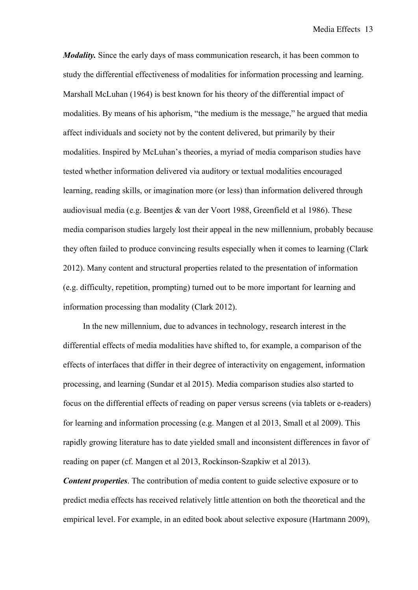*Modality*. Since the early days of mass communication research, it has been common to study the differential effectiveness of modalities for information processing and learning. Marshall McLuhan (1964) is best known for his theory of the differential impact of modalities. By means of his aphorism, "the medium is the message," he argued that media affect individuals and society not by the content delivered, but primarily by their modalities. Inspired by McLuhan's theories, a myriad of media comparison studies have tested whether information delivered via auditory or textual modalities encouraged learning, reading skills, or imagination more (or less) than information delivered through audiovisual media (e.g. Beentjes & van der Voort 1988, Greenfield et al 1986). These media comparison studies largely lost their appeal in the new millennium, probably because they often failed to produce convincing results especially when it comes to learning (Clark 2012). Many content and structural properties related to the presentation of information (e.g. difficulty, repetition, prompting) turned out to be more important for learning and information processing than modality (Clark 2012).

In the new millennium, due to advances in technology, research interest in the differential effects of media modalities have shifted to, for example, a comparison of the effects of interfaces that differ in their degree of interactivity on engagement, information processing, and learning (Sundar et al 2015). Media comparison studies also started to focus on the differential effects of reading on paper versus screens (via tablets or e-readers) for learning and information processing (e.g. Mangen et al 2013, Small et al 2009). This rapidly growing literature has to date yielded small and inconsistent differences in favor of reading on paper (cf. Mangen et al 2013, Rockinson-Szapkiw et al 2013).

*Content properties*. The contribution of media content to guide selective exposure or to predict media effects has received relatively little attention on both the theoretical and the empirical level. For example, in an edited book about selective exposure (Hartmann 2009),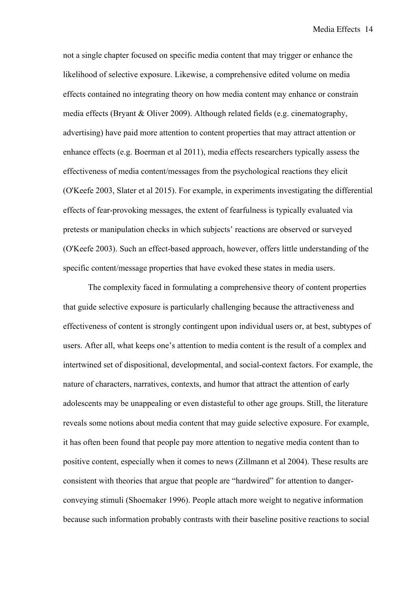not a single chapter focused on specific media content that may trigger or enhance the likelihood of selective exposure. Likewise, a comprehensive edited volume on media effects contained no integrating theory on how media content may enhance or constrain media effects (Bryant & Oliver 2009). Although related fields (e.g. cinematography, advertising) have paid more attention to content properties that may attract attention or enhance effects (e.g. Boerman et al 2011), media effects researchers typically assess the effectiveness of media content/messages from the psychological reactions they elicit (O'Keefe 2003, Slater et al 2015). For example, in experiments investigating the differential effects of fear-provoking messages, the extent of fearfulness is typically evaluated via pretests or manipulation checks in which subjects' reactions are observed or surveyed (O'Keefe 2003). Such an effect-based approach, however, offers little understanding of the specific content/message properties that have evoked these states in media users.

The complexity faced in formulating a comprehensive theory of content properties that guide selective exposure is particularly challenging because the attractiveness and effectiveness of content is strongly contingent upon individual users or, at best, subtypes of users. After all, what keeps one's attention to media content is the result of a complex and intertwined set of dispositional, developmental, and social-context factors. For example, the nature of characters, narratives, contexts, and humor that attract the attention of early adolescents may be unappealing or even distasteful to other age groups. Still, the literature reveals some notions about media content that may guide selective exposure. For example, it has often been found that people pay more attention to negative media content than to positive content, especially when it comes to news (Zillmann et al 2004). These results are consistent with theories that argue that people are "hardwired" for attention to dangerconveying stimuli (Shoemaker 1996). People attach more weight to negative information because such information probably contrasts with their baseline positive reactions to social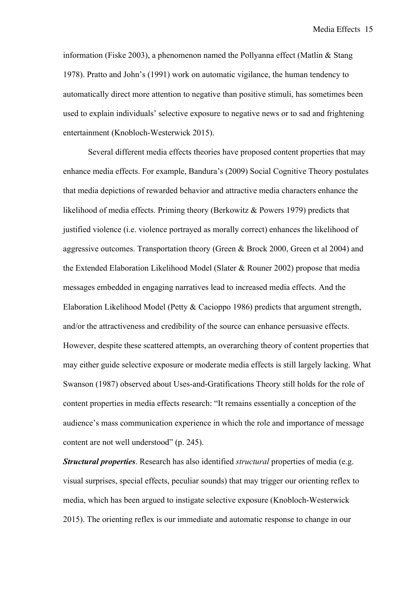information (Fiske 2003), a phenomenon named the Pollyanna effect (Matlin & Stang 1978). Pratto and John's (1991) work on automatic vigilance, the human tendency to automatically direct more attention to negative than positive stimuli, has sometimes been used to explain individuals' selective exposure to negative news or to sad and frightening entertainment (Knobloch-Westerwick 2015).

Several different media effects theories have proposed content properties that may enhance media effects. For example, Bandura's (2009) Social Cognitive Theory postulates that media depictions of rewarded behavior and attractive media characters enhance the likelihood of media effects. Priming theory (Berkowitz & Powers 1979) predicts that justified violence (i.e. violence portrayed as morally correct) enhances the likelihood of aggressive outcomes. Transportation theory (Green & Brock 2000, Green et al 2004) and the Extended Elaboration Likelihood Model (Slater & Rouner 2002) propose that media messages embedded in engaging narratives lead to increased media effects. And the Elaboration Likelihood Model (Petty & Cacioppo 1986) predicts that argument strength, and/or the attractiveness and credibility of the source can enhance persuasive effects. However, despite these scattered attempts, an overarching theory of content properties that may either guide selective exposure or moderate media effects is still largely lacking. What Swanson (1987) observed about Uses-and-Gratifications Theory still holds for the role of content properties in media effects research: "It remains essentially a conception of the audience's mass communication experience in which the role and importance of message content are not well understood" (p. 245).

*Structural properties*. Research has also identified *structural* properties of media (e.g. visual surprises, special effects, peculiar sounds) that may trigger our orienting reflex to media, which has been argued to instigate selective exposure (Knobloch-Westerwick 2015). The orienting reflex is our immediate and automatic response to change in our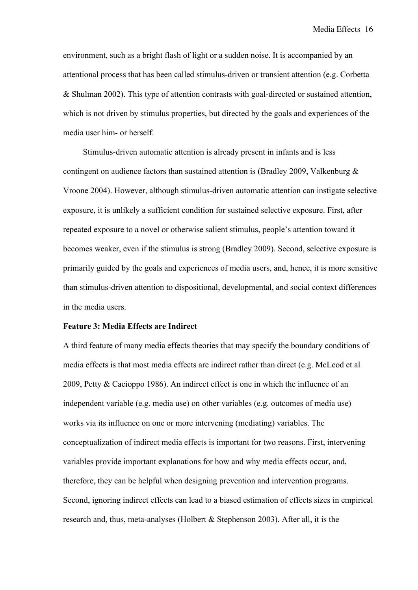environment, such as a bright flash of light or a sudden noise. It is accompanied by an attentional process that has been called stimulus-driven or transient attention (e.g. Corbetta & Shulman 2002). This type of attention contrasts with goal-directed or sustained attention, which is not driven by stimulus properties, but directed by the goals and experiences of the media user him- or herself.

Stimulus-driven automatic attention is already present in infants and is less contingent on audience factors than sustained attention is (Bradley 2009, Valkenburg  $\&$ Vroone 2004). However, although stimulus-driven automatic attention can instigate selective exposure, it is unlikely a sufficient condition for sustained selective exposure. First, after repeated exposure to a novel or otherwise salient stimulus, people's attention toward it becomes weaker, even if the stimulus is strong (Bradley 2009). Second, selective exposure is primarily guided by the goals and experiences of media users, and, hence, it is more sensitive than stimulus-driven attention to dispositional, developmental, and social context differences in the media users.

## **Feature 3: Media Effects are Indirect**

A third feature of many media effects theories that may specify the boundary conditions of media effects is that most media effects are indirect rather than direct (e.g. McLeod et al 2009, Petty & Cacioppo 1986). An indirect effect is one in which the influence of an independent variable (e.g. media use) on other variables (e.g. outcomes of media use) works via its influence on one or more intervening (mediating) variables. The conceptualization of indirect media effects is important for two reasons. First, intervening variables provide important explanations for how and why media effects occur, and, therefore, they can be helpful when designing prevention and intervention programs. Second, ignoring indirect effects can lead to a biased estimation of effects sizes in empirical research and, thus, meta-analyses (Holbert & Stephenson 2003). After all, it is the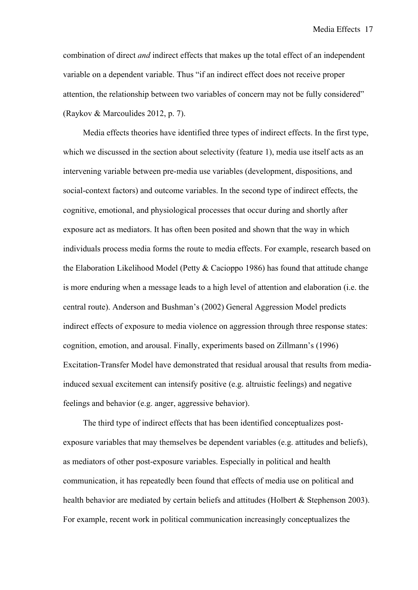combination of direct *and* indirect effects that makes up the total effect of an independent variable on a dependent variable. Thus "if an indirect effect does not receive proper attention, the relationship between two variables of concern may not be fully considered" (Raykov & Marcoulides 2012, p. 7).

Media effects theories have identified three types of indirect effects. In the first type, which we discussed in the section about selectivity (feature 1), media use itself acts as an intervening variable between pre-media use variables (development, dispositions, and social-context factors) and outcome variables. In the second type of indirect effects, the cognitive, emotional, and physiological processes that occur during and shortly after exposure act as mediators. It has often been posited and shown that the way in which individuals process media forms the route to media effects. For example, research based on the Elaboration Likelihood Model (Petty & Cacioppo 1986) has found that attitude change is more enduring when a message leads to a high level of attention and elaboration (i.e. the central route). Anderson and Bushman's (2002) General Aggression Model predicts indirect effects of exposure to media violence on aggression through three response states: cognition, emotion, and arousal. Finally, experiments based on Zillmann's (1996) Excitation-Transfer Model have demonstrated that residual arousal that results from mediainduced sexual excitement can intensify positive (e.g. altruistic feelings) and negative feelings and behavior (e.g. anger, aggressive behavior).

The third type of indirect effects that has been identified conceptualizes postexposure variables that may themselves be dependent variables (e.g. attitudes and beliefs), as mediators of other post-exposure variables. Especially in political and health communication, it has repeatedly been found that effects of media use on political and health behavior are mediated by certain beliefs and attitudes (Holbert & Stephenson 2003). For example, recent work in political communication increasingly conceptualizes the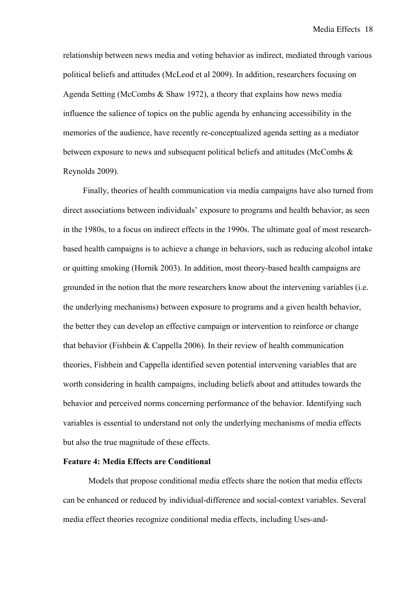relationship between news media and voting behavior as indirect, mediated through various political beliefs and attitudes (McLeod et al 2009). In addition, researchers focusing on Agenda Setting (McCombs & Shaw 1972), a theory that explains how news media influence the salience of topics on the public agenda by enhancing accessibility in the memories of the audience, have recently re-conceptualized agenda setting as a mediator between exposure to news and subsequent political beliefs and attitudes (McCombs & Reynolds 2009).

Finally, theories of health communication via media campaigns have also turned from direct associations between individuals' exposure to programs and health behavior, as seen in the 1980s, to a focus on indirect effects in the 1990s. The ultimate goal of most researchbased health campaigns is to achieve a change in behaviors, such as reducing alcohol intake or quitting smoking (Hornik 2003). In addition, most theory-based health campaigns are grounded in the notion that the more researchers know about the intervening variables (i.e. the underlying mechanisms) between exposure to programs and a given health behavior, the better they can develop an effective campaign or intervention to reinforce or change that behavior (Fishbein & Cappella 2006). In their review of health communication theories, Fishbein and Cappella identified seven potential intervening variables that are worth considering in health campaigns, including beliefs about and attitudes towards the behavior and perceived norms concerning performance of the behavior. Identifying such variables is essential to understand not only the underlying mechanisms of media effects but also the true magnitude of these effects.

# **Feature 4: Media Effects are Conditional**

Models that propose conditional media effects share the notion that media effects can be enhanced or reduced by individual-difference and social-context variables. Several media effect theories recognize conditional media effects, including Uses-and-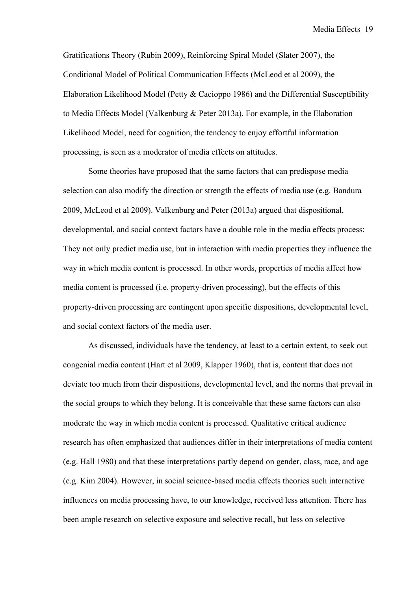Gratifications Theory (Rubin 2009), Reinforcing Spiral Model (Slater 2007), the Conditional Model of Political Communication Effects (McLeod et al 2009), the Elaboration Likelihood Model (Petty & Cacioppo 1986) and the Differential Susceptibility to Media Effects Model (Valkenburg & Peter 2013a). For example, in the Elaboration Likelihood Model, need for cognition, the tendency to enjoy effortful information processing, is seen as a moderator of media effects on attitudes.

Some theories have proposed that the same factors that can predispose media selection can also modify the direction or strength the effects of media use (e.g. Bandura 2009, McLeod et al 2009). Valkenburg and Peter (2013a) argued that dispositional, developmental, and social context factors have a double role in the media effects process: They not only predict media use, but in interaction with media properties they influence the way in which media content is processed. In other words, properties of media affect how media content is processed (i.e. property-driven processing), but the effects of this property-driven processing are contingent upon specific dispositions, developmental level, and social context factors of the media user.

As discussed, individuals have the tendency, at least to a certain extent, to seek out congenial media content (Hart et al 2009, Klapper 1960), that is, content that does not deviate too much from their dispositions, developmental level, and the norms that prevail in the social groups to which they belong. It is conceivable that these same factors can also moderate the way in which media content is processed. Qualitative critical audience research has often emphasized that audiences differ in their interpretations of media content (e.g. Hall 1980) and that these interpretations partly depend on gender, class, race, and age (e.g. Kim 2004). However, in social science-based media effects theories such interactive influences on media processing have, to our knowledge, received less attention. There has been ample research on selective exposure and selective recall, but less on selective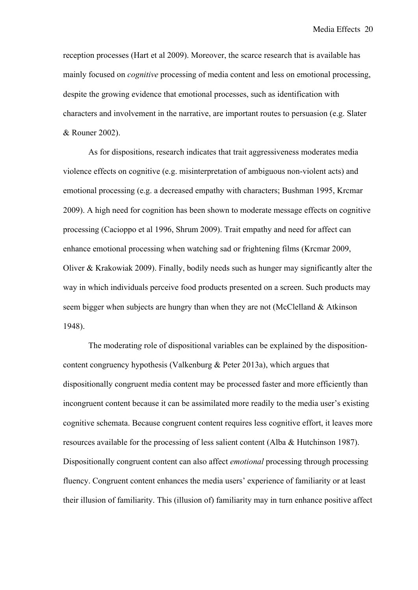reception processes (Hart et al 2009). Moreover, the scarce research that is available has mainly focused on *cognitive* processing of media content and less on emotional processing, despite the growing evidence that emotional processes, such as identification with characters and involvement in the narrative, are important routes to persuasion (e.g. Slater & Rouner 2002).

As for dispositions, research indicates that trait aggressiveness moderates media violence effects on cognitive (e.g. misinterpretation of ambiguous non-violent acts) and emotional processing (e.g. a decreased empathy with characters; Bushman 1995, Krcmar 2009). A high need for cognition has been shown to moderate message effects on cognitive processing (Cacioppo et al 1996, Shrum 2009). Trait empathy and need for affect can enhance emotional processing when watching sad or frightening films (Krcmar 2009, Oliver & Krakowiak 2009). Finally, bodily needs such as hunger may significantly alter the way in which individuals perceive food products presented on a screen. Such products may seem bigger when subjects are hungry than when they are not (McClelland & Atkinson 1948).

The moderatin*g* role of dispositional variables can be explained by the dispositioncontent congruency hypothesis (Valkenburg & Peter 2013a), which argues that dispositionally congruent media content may be processed faster and more efficiently than incongruent content because it can be assimilated more readily to the media user's existing cognitive schemata. Because congruent content requires less cognitive effort, it leaves more resources available for the processing of less salient content (Alba & Hutchinson 1987). Dispositionally congruent content can also affect *emotional* processing through processing fluency. Congruent content enhances the media users' experience of familiarity or at least their illusion of familiarity. This (illusion of) familiarity may in turn enhance positive affect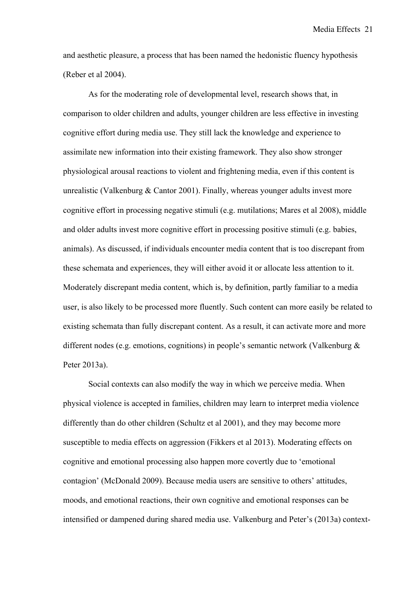and aesthetic pleasure, a process that has been named the hedonistic fluency hypothesis (Reber et al 2004).

As for the moderating role of developmental level, research shows that, in comparison to older children and adults, younger children are less effective in investing cognitive effort during media use. They still lack the knowledge and experience to assimilate new information into their existing framework. They also show stronger physiological arousal reactions to violent and frightening media, even if this content is unrealistic (Valkenburg  $& Cantor 2001$ ). Finally, whereas younger adults invest more cognitive effort in processing negative stimuli (e.g. mutilations; Mares et al 2008), middle and older adults invest more cognitive effort in processing positive stimuli (e.g. babies, animals). As discussed, if individuals encounter media content that is too discrepant from these schemata and experiences, they will either avoid it or allocate less attention to it. Moderately discrepant media content, which is, by definition, partly familiar to a media user, is also likely to be processed more fluently. Such content can more easily be related to existing schemata than fully discrepant content. As a result, it can activate more and more different nodes (e.g. emotions, cognitions) in people's semantic network (Valkenburg & Peter 2013a).

Social contexts can also modify the way in which we perceive media. When physical violence is accepted in families, children may learn to interpret media violence differently than do other children (Schultz et al 2001), and they may become more susceptible to media effects on aggression (Fikkers et al 2013). Moderating effects on cognitive and emotional processing also happen more covertly due to 'emotional contagion' (McDonald 2009). Because media users are sensitive to others' attitudes, moods, and emotional reactions, their own cognitive and emotional responses can be intensified or dampened during shared media use. Valkenburg and Peter's (2013a) context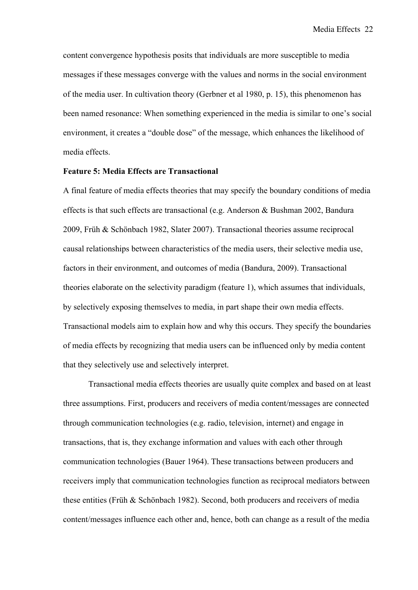content convergence hypothesis posits that individuals are more susceptible to media messages if these messages converge with the values and norms in the social environment of the media user. In cultivation theory (Gerbner et al 1980, p. 15), this phenomenon has been named resonance: When something experienced in the media is similar to one's social environment, it creates a "double dose" of the message, which enhances the likelihood of media effects.

#### **Feature 5: Media Effects are Transactional**

A final feature of media effects theories that may specify the boundary conditions of media effects is that such effects are transactional (e.g. Anderson & Bushman 2002, Bandura 2009, Früh & Schönbach 1982, Slater 2007). Transactional theories assume reciprocal causal relationships between characteristics of the media users, their selective media use, factors in their environment, and outcomes of media (Bandura, 2009). Transactional theories elaborate on the selectivity paradigm (feature 1), which assumes that individuals, by selectively exposing themselves to media, in part shape their own media effects. Transactional models aim to explain how and why this occurs. They specify the boundaries of media effects by recognizing that media users can be influenced only by media content that they selectively use and selectively interpret.

Transactional media effects theories are usually quite complex and based on at least three assumptions. First, producers and receivers of media content/messages are connected through communication technologies (e.g. radio, television, internet) and engage in transactions, that is, they exchange information and values with each other through communication technologies (Bauer 1964). These transactions between producers and receivers imply that communication technologies function as reciprocal mediators between these entities (Früh & Schönbach 1982). Second, both producers and receivers of media content/messages influence each other and, hence, both can change as a result of the media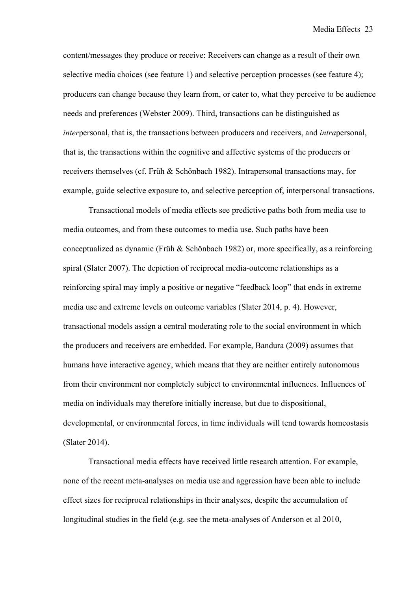content/messages they produce or receive: Receivers can change as a result of their own selective media choices (see feature 1) and selective perception processes (see feature 4); producers can change because they learn from, or cater to, what they perceive to be audience needs and preferences (Webster 2009). Third, transactions can be distinguished as *inter*personal, that is, the transactions between producers and receivers, and *intra*personal, that is, the transactions within the cognitive and affective systems of the producers or receivers themselves (cf. Früh & Schönbach 1982). Intrapersonal transactions may, for example, guide selective exposure to, and selective perception of, interpersonal transactions.

Transactional models of media effects see predictive paths both from media use to media outcomes, and from these outcomes to media use. Such paths have been conceptualized as dynamic (Früh & Schönbach 1982) or, more specifically, as a reinforcing spiral (Slater 2007). The depiction of reciprocal media-outcome relationships as a reinforcing spiral may imply a positive or negative "feedback loop" that ends in extreme media use and extreme levels on outcome variables (Slater 2014, p. 4). However, transactional models assign a central moderating role to the social environment in which the producers and receivers are embedded. For example, Bandura (2009) assumes that humans have interactive agency, which means that they are neither entirely autonomous from their environment nor completely subject to environmental influences. Influences of media on individuals may therefore initially increase, but due to dispositional, developmental, or environmental forces, in time individuals will tend towards homeostasis (Slater 2014).

Transactional media effects have received little research attention. For example, none of the recent meta-analyses on media use and aggression have been able to include effect sizes for reciprocal relationships in their analyses, despite the accumulation of longitudinal studies in the field (e.g. see the meta-analyses of Anderson et al 2010,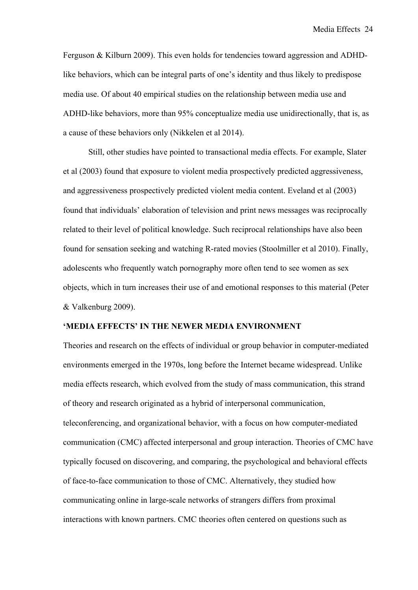Ferguson & Kilburn 2009). This even holds for tendencies toward aggression and ADHDlike behaviors, which can be integral parts of one's identity and thus likely to predispose media use. Of about 40 empirical studies on the relationship between media use and ADHD-like behaviors, more than 95% conceptualize media use unidirectionally, that is, as a cause of these behaviors only (Nikkelen et al 2014).

Still, other studies have pointed to transactional media effects. For example, Slater et al (2003) found that exposure to violent media prospectively predicted aggressiveness, and aggressiveness prospectively predicted violent media content. Eveland et al (2003) found that individuals' elaboration of television and print news messages was reciprocally related to their level of political knowledge. Such reciprocal relationships have also been found for sensation seeking and watching R-rated movies (Stoolmiller et al 2010). Finally, adolescents who frequently watch pornography more often tend to see women as sex objects, which in turn increases their use of and emotional responses to this material (Peter & Valkenburg 2009).

## **'MEDIA EFFECTS' IN THE NEWER MEDIA ENVIRONMENT**

Theories and research on the effects of individual or group behavior in computer-mediated environments emerged in the 1970s, long before the Internet became widespread. Unlike media effects research, which evolved from the study of mass communication, this strand of theory and research originated as a hybrid of interpersonal communication, teleconferencing, and organizational behavior, with a focus on how computer-mediated communication (CMC) affected interpersonal and group interaction. Theories of CMC have typically focused on discovering, and comparing, the psychological and behavioral effects of face-to-face communication to those of CMC. Alternatively, they studied how communicating online in large-scale networks of strangers differs from proximal interactions with known partners. CMC theories often centered on questions such as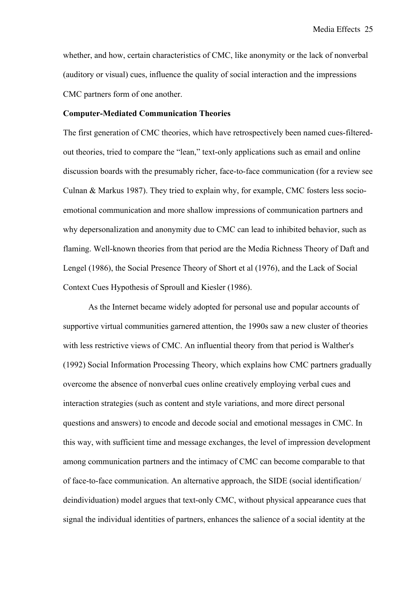whether, and how, certain characteristics of CMC, like anonymity or the lack of nonverbal (auditory or visual) cues, influence the quality of social interaction and the impressions CMC partners form of one another.

### **Computer-Mediated Communication Theories**

The first generation of CMC theories, which have retrospectively been named cues-filteredout theories, tried to compare the "lean," text-only applications such as email and online discussion boards with the presumably richer, face-to-face communication (for a review see Culnan & Markus 1987). They tried to explain why, for example, CMC fosters less socioemotional communication and more shallow impressions of communication partners and why depersonalization and anonymity due to CMC can lead to inhibited behavior, such as flaming. Well-known theories from that period are the Media Richness Theory of Daft and Lengel (1986), the Social Presence Theory of Short et al (1976), and the Lack of Social Context Cues Hypothesis of Sproull and Kiesler (1986).

As the Internet became widely adopted for personal use and popular accounts of supportive virtual communities garnered attention, the 1990s saw a new cluster of theories with less restrictive views of CMC. An influential theory from that period is Walther's (1992) Social Information Processing Theory, which explains how CMC partners gradually overcome the absence of nonverbal cues online creatively employing verbal cues and interaction strategies (such as content and style variations, and more direct personal questions and answers) to encode and decode social and emotional messages in CMC. In this way, with sufficient time and message exchanges, the level of impression development among communication partners and the intimacy of CMC can become comparable to that of face-to-face communication. An alternative approach, the SIDE (social identification/ deindividuation) model argues that text-only CMC, without physical appearance cues that signal the individual identities of partners, enhances the salience of a social identity at the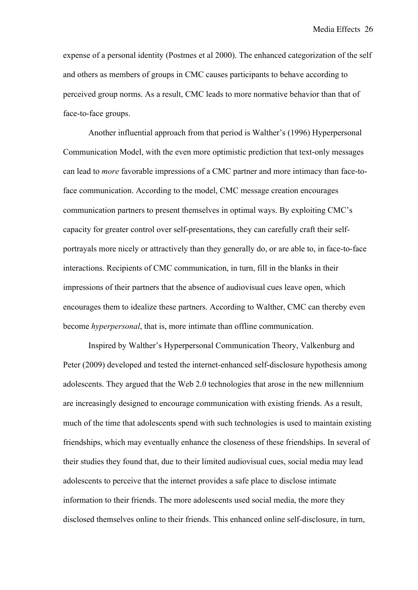expense of a personal identity (Postmes et al 2000). The enhanced categorization of the self and others as members of groups in CMC causes participants to behave according to perceived group norms. As a result, CMC leads to more normative behavior than that of face-to-face groups.

Another influential approach from that period is Walther's (1996) Hyperpersonal Communication Model, with the even more optimistic prediction that text-only messages can lead to *more* favorable impressions of a CMC partner and more intimacy than face-toface communication. According to the model, CMC message creation encourages communication partners to present themselves in optimal ways. By exploiting CMC's capacity for greater control over self-presentations, they can carefully craft their selfportrayals more nicely or attractively than they generally do, or are able to, in face-to-face interactions. Recipients of CMC communication, in turn, fill in the blanks in their impressions of their partners that the absence of audiovisual cues leave open, which encourages them to idealize these partners. According to Walther, CMC can thereby even become *hyperpersonal*, that is, more intimate than offline communication.

Inspired by Walther's Hyperpersonal Communication Theory, Valkenburg and Peter (2009) developed and tested the internet-enhanced self-disclosure hypothesis among adolescents. They argued that the Web 2.0 technologies that arose in the new millennium are increasingly designed to encourage communication with existing friends. As a result, much of the time that adolescents spend with such technologies is used to maintain existing friendships, which may eventually enhance the closeness of these friendships. In several of their studies they found that, due to their limited audiovisual cues, social media may lead adolescents to perceive that the internet provides a safe place to disclose intimate information to their friends. The more adolescents used social media, the more they disclosed themselves online to their friends. This enhanced online self-disclosure, in turn,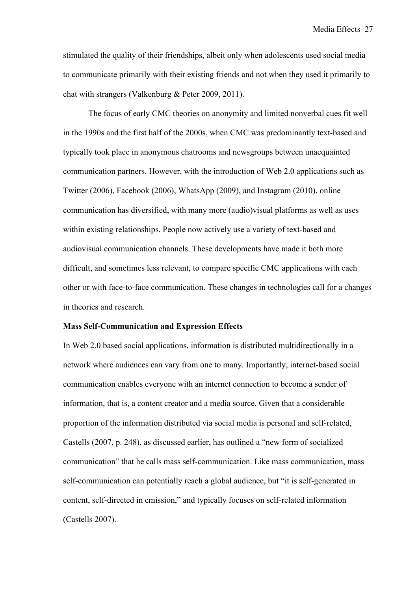stimulated the quality of their friendships, albeit only when adolescents used social media to communicate primarily with their existing friends and not when they used it primarily to chat with strangers (Valkenburg & Peter 2009, 2011).

The focus of early CMC theories on anonymity and limited nonverbal cues fit well in the 1990s and the first half of the 2000s, when CMC was predominantly text-based and typically took place in anonymous chatrooms and newsgroups between unacquainted communication partners. However, with the introduction of Web 2.0 applications such as Twitter (2006), Facebook (2006), WhatsApp (2009), and Instagram (2010), online communication has diversified, with many more (audio)visual platforms as well as uses within existing relationships. People now actively use a variety of text-based and audiovisual communication channels. These developments have made it both more difficult, and sometimes less relevant, to compare specific CMC applications with each other or with face-to-face communication. These changes in technologies call for a changes in theories and research.

#### **Mass Self-Communication and Expression Effects**

In Web 2.0 based social applications, information is distributed multidirectionally in a network where audiences can vary from one to many. Importantly, internet-based social communication enables everyone with an internet connection to become a sender of information, that is, a content creator and a media source. Given that a considerable proportion of the information distributed via social media is personal and self-related, Castells (2007, p. 248), as discussed earlier, has outlined a "new form of socialized communication" that he calls mass self-communication. Like mass communication, mass self-communication can potentially reach a global audience, but "it is self-generated in content, self-directed in emission," and typically focuses on self-related information (Castells 2007).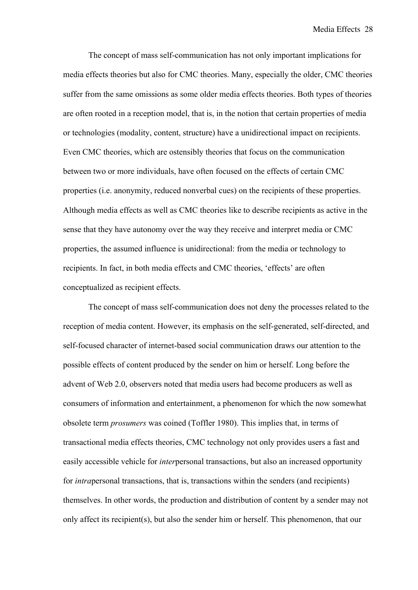The concept of mass self-communication has not only important implications for media effects theories but also for CMC theories. Many, especially the older, CMC theories suffer from the same omissions as some older media effects theories. Both types of theories are often rooted in a reception model, that is, in the notion that certain properties of media or technologies (modality, content, structure) have a unidirectional impact on recipients. Even CMC theories, which are ostensibly theories that focus on the communication between two or more individuals, have often focused on the effects of certain CMC properties (i.e. anonymity, reduced nonverbal cues) on the recipients of these properties. Although media effects as well as CMC theories like to describe recipients as active in the sense that they have autonomy over the way they receive and interpret media or CMC properties, the assumed influence is unidirectional: from the media or technology to recipients. In fact, in both media effects and CMC theories, 'effects' are often conceptualized as recipient effects.

The concept of mass self-communication does not deny the processes related to the reception of media content. However, its emphasis on the self-generated, self-directed, and self-focused character of internet-based social communication draws our attention to the possible effects of content produced by the sender on him or herself. Long before the advent of Web 2.0, observers noted that media users had become producers as well as consumers of information and entertainment, a phenomenon for which the now somewhat obsolete term *prosumers* was coined (Toffler 1980). This implies that, in terms of transactional media effects theories, CMC technology not only provides users a fast and easily accessible vehicle for *inter*personal transactions, but also an increased opportunity for *intra*personal transactions, that is, transactions within the senders (and recipients) themselves. In other words, the production and distribution of content by a sender may not only affect its recipient(s), but also the sender him or herself. This phenomenon, that our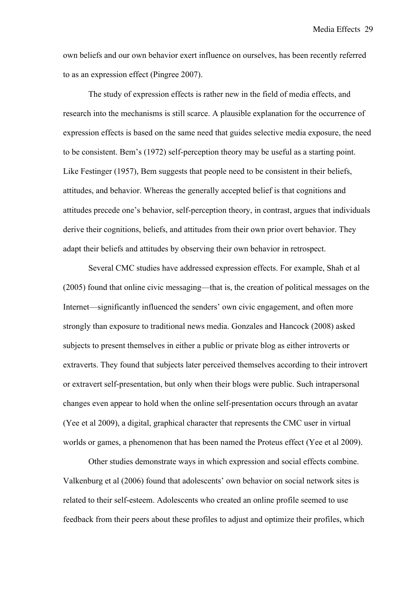own beliefs and our own behavior exert influence on ourselves, has been recently referred to as an expression effect (Pingree 2007).

The study of expression effects is rather new in the field of media effects, and research into the mechanisms is still scarce. A plausible explanation for the occurrence of expression effects is based on the same need that guides selective media exposure, the need to be consistent. Bem's (1972) self-perception theory may be useful as a starting point. Like Festinger (1957), Bem suggests that people need to be consistent in their beliefs, attitudes, and behavior. Whereas the generally accepted belief is that cognitions and attitudes precede one's behavior, self-perception theory, in contrast, argues that individuals derive their cognitions, beliefs, and attitudes from their own prior overt behavior. They adapt their beliefs and attitudes by observing their own behavior in retrospect.

Several CMC studies have addressed expression effects. For example, Shah et al (2005) found that online civic messaging—that is, the creation of political messages on the Internet—significantly influenced the senders' own civic engagement, and often more strongly than exposure to traditional news media. Gonzales and Hancock (2008) asked subjects to present themselves in either a public or private blog as either introverts or extraverts. They found that subjects later perceived themselves according to their introvert or extravert self-presentation, but only when their blogs were public. Such intrapersonal changes even appear to hold when the online self-presentation occurs through an avatar (Yee et al 2009), a digital, graphical character that represents the CMC user in virtual worlds or games, a phenomenon that has been named the Proteus effect (Yee et al 2009).

Other studies demonstrate ways in which expression and social effects combine. Valkenburg et al (2006) found that adolescents' own behavior on social network sites is related to their self-esteem. Adolescents who created an online profile seemed to use feedback from their peers about these profiles to adjust and optimize their profiles, which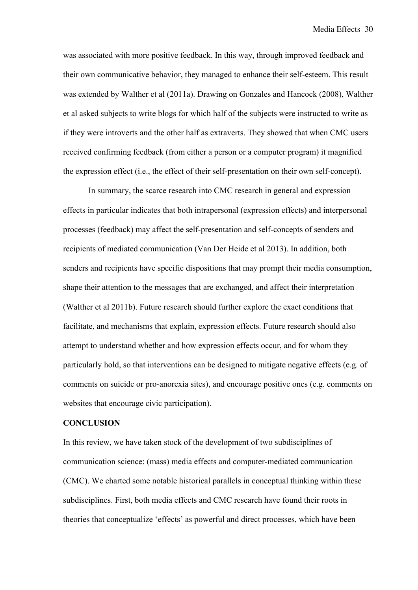was associated with more positive feedback. In this way, through improved feedback and their own communicative behavior, they managed to enhance their self-esteem. This result was extended by Walther et al (2011a). Drawing on Gonzales and Hancock (2008), Walther et al asked subjects to write blogs for which half of the subjects were instructed to write as if they were introverts and the other half as extraverts. They showed that when CMC users received confirming feedback (from either a person or a computer program) it magnified the expression effect (i.e., the effect of their self-presentation on their own self-concept).

In summary, the scarce research into CMC research in general and expression effects in particular indicates that both intrapersonal (expression effects) and interpersonal processes (feedback) may affect the self-presentation and self-concepts of senders and recipients of mediated communication (Van Der Heide et al 2013). In addition, both senders and recipients have specific dispositions that may prompt their media consumption, shape their attention to the messages that are exchanged, and affect their interpretation (Walther et al 2011b). Future research should further explore the exact conditions that facilitate, and mechanisms that explain, expression effects. Future research should also attempt to understand whether and how expression effects occur, and for whom they particularly hold, so that interventions can be designed to mitigate negative effects (e.g. of comments on suicide or pro-anorexia sites), and encourage positive ones (e.g. comments on websites that encourage civic participation).

#### **CONCLUSION**

In this review, we have taken stock of the development of two subdisciplines of communication science: (mass) media effects and computer-mediated communication (CMC). We charted some notable historical parallels in conceptual thinking within these subdisciplines. First, both media effects and CMC research have found their roots in theories that conceptualize 'effects' as powerful and direct processes, which have been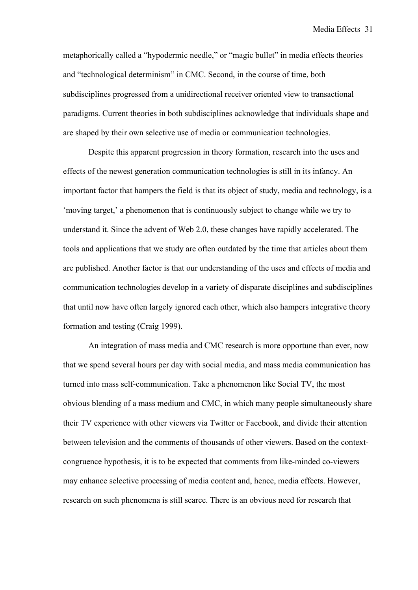metaphorically called a "hypodermic needle," or "magic bullet" in media effects theories and "technological determinism" in CMC. Second, in the course of time, both subdisciplines progressed from a unidirectional receiver oriented view to transactional paradigms. Current theories in both subdisciplines acknowledge that individuals shape and are shaped by their own selective use of media or communication technologies.

Despite this apparent progression in theory formation, research into the uses and effects of the newest generation communication technologies is still in its infancy. An important factor that hampers the field is that its object of study, media and technology, is a 'moving target,' a phenomenon that is continuously subject to change while we try to understand it. Since the advent of Web 2.0, these changes have rapidly accelerated. The tools and applications that we study are often outdated by the time that articles about them are published. Another factor is that our understanding of the uses and effects of media and communication technologies develop in a variety of disparate disciplines and subdisciplines that until now have often largely ignored each other, which also hampers integrative theory formation and testing (Craig 1999).

An integration of mass media and CMC research is more opportune than ever, now that we spend several hours per day with social media, and mass media communication has turned into mass self-communication. Take a phenomenon like Social TV, the most obvious blending of a mass medium and CMC, in which many people simultaneously share their TV experience with other viewers via Twitter or Facebook, and divide their attention between television and the comments of thousands of other viewers. Based on the contextcongruence hypothesis, it is to be expected that comments from like-minded co-viewers may enhance selective processing of media content and, hence, media effects. However, research on such phenomena is still scarce. There is an obvious need for research that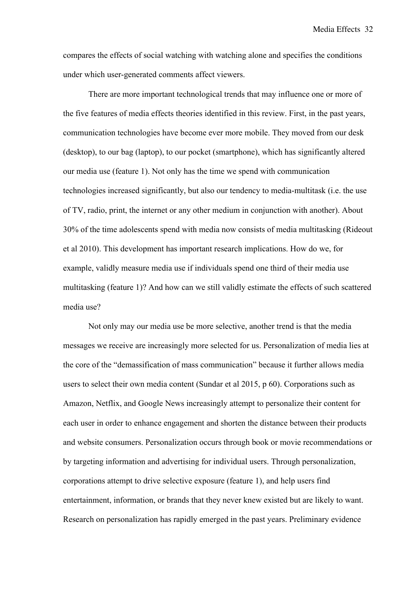compares the effects of social watching with watching alone and specifies the conditions under which user-generated comments affect viewers.

There are more important technological trends that may influence one or more of the five features of media effects theories identified in this review. First, in the past years, communication technologies have become ever more mobile. They moved from our desk (desktop), to our bag (laptop), to our pocket (smartphone), which has significantly altered our media use (feature 1). Not only has the time we spend with communication technologies increased significantly, but also our tendency to media-multitask (i.e. the use of TV, radio, print, the internet or any other medium in conjunction with another). About 30% of the time adolescents spend with media now consists of media multitasking (Rideout et al 2010). This development has important research implications. How do we, for example, validly measure media use if individuals spend one third of their media use multitasking (feature 1)? And how can we still validly estimate the effects of such scattered media use?

Not only may our media use be more selective, another trend is that the media messages we receive are increasingly more selected for us. Personalization of media lies at the core of the "demassification of mass communication" because it further allows media users to select their own media content (Sundar et al 2015, p 60). Corporations such as Amazon, Netflix, and Google News increasingly attempt to personalize their content for each user in order to enhance engagement and shorten the distance between their products and website consumers. Personalization occurs through book or movie recommendations or by targeting information and advertising for individual users. Through personalization, corporations attempt to drive selective exposure (feature 1), and help users find entertainment, information, or brands that they never knew existed but are likely to want. Research on personalization has rapidly emerged in the past years. Preliminary evidence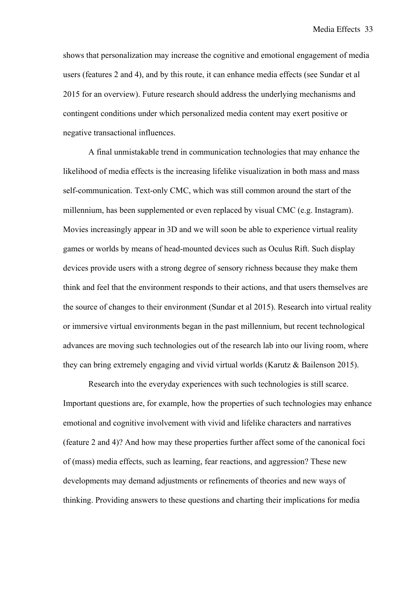shows that personalization may increase the cognitive and emotional engagement of media users (features 2 and 4), and by this route, it can enhance media effects (see Sundar et al 2015 for an overview). Future research should address the underlying mechanisms and contingent conditions under which personalized media content may exert positive or negative transactional influences.

A final unmistakable trend in communication technologies that may enhance the likelihood of media effects is the increasing lifelike visualization in both mass and mass self-communication. Text-only CMC, which was still common around the start of the millennium, has been supplemented or even replaced by visual CMC (e.g. Instagram). Movies increasingly appear in 3D and we will soon be able to experience virtual reality games or worlds by means of head-mounted devices such as Oculus Rift. Such display devices provide users with a strong degree of sensory richness because they make them think and feel that the environment responds to their actions, and that users themselves are the source of changes to their environment (Sundar et al 2015). Research into virtual reality or immersive virtual environments began in the past millennium, but recent technological advances are moving such technologies out of the research lab into our living room, where they can bring extremely engaging and vivid virtual worlds (Karutz & Bailenson 2015).

Research into the everyday experiences with such technologies is still scarce. Important questions are, for example, how the properties of such technologies may enhance emotional and cognitive involvement with vivid and lifelike characters and narratives (feature 2 and 4)? And how may these properties further affect some of the canonical foci of (mass) media effects, such as learning, fear reactions, and aggression? These new developments may demand adjustments or refinements of theories and new ways of thinking. Providing answers to these questions and charting their implications for media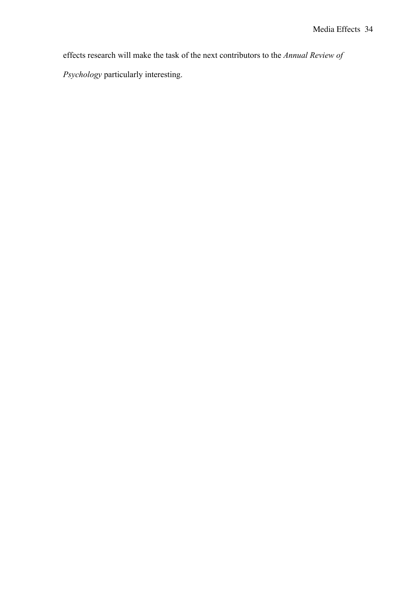effects research will make the task of the next contributors to the *Annual Review of* 

*Psychology* particularly interesting.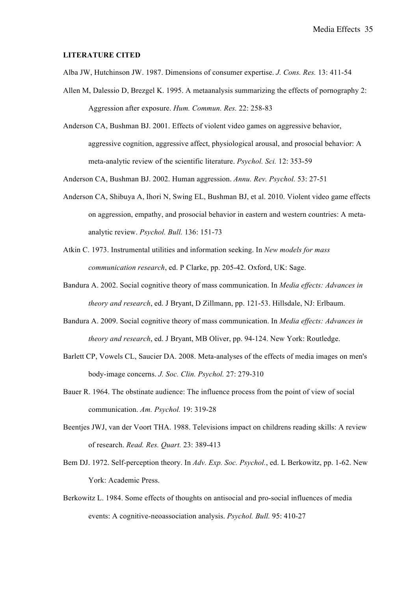#### **LITERATURE CITED**

- Alba JW, Hutchinson JW. 1987. Dimensions of consumer expertise. *J. Cons. Res.* 13: 411-54
- Allen M, Dalessio D, Brezgel K. 1995. A metaanalysis summarizing the effects of pornography 2: Aggression after exposure. *Hum. Commun. Res.* 22: 258-83
- Anderson CA, Bushman BJ. 2001. Effects of violent video games on aggressive behavior, aggressive cognition, aggressive affect, physiological arousal, and prosocial behavior: A meta-analytic review of the scientific literature. *Psychol. Sci.* 12: 353-59
- Anderson CA, Bushman BJ. 2002. Human aggression. *Annu. Rev. Psychol.* 53: 27-51
- Anderson CA, Shibuya A, Ihori N, Swing EL, Bushman BJ, et al. 2010. Violent video game effects on aggression, empathy, and prosocial behavior in eastern and western countries: A metaanalytic review. *Psychol. Bull.* 136: 151-73
- Atkin C. 1973. Instrumental utilities and information seeking. In *New models for mass communication research*, ed. P Clarke, pp. 205-42. Oxford, UK: Sage.
- Bandura A. 2002. Social cognitive theory of mass communication. In *Media effects: Advances in theory and research*, ed. J Bryant, D Zillmann, pp. 121-53. Hillsdale, NJ: Erlbaum.
- Bandura A. 2009. Social cognitive theory of mass communication. In *Media effects: Advances in theory and research*, ed. J Bryant, MB Oliver, pp. 94-124. New York: Routledge.
- Barlett CP, Vowels CL, Saucier DA. 2008. Meta-analyses of the effects of media images on men's body-image concerns. *J. Soc. Clin. Psychol.* 27: 279-310
- Bauer R. 1964. The obstinate audience: The influence process from the point of view of social communication. *Am. Psychol.* 19: 319-28
- Beentjes JWJ, van der Voort THA. 1988. Televisions impact on childrens reading skills: A review of research. *Read. Res. Quart.* 23: 389-413
- Bem DJ. 1972. Self-perception theory. In *Adv. Exp. Soc. Psychol.*, ed. L Berkowitz, pp. 1-62. New York: Academic Press.
- Berkowitz L. 1984. Some effects of thoughts on antisocial and pro-social influences of media events: A cognitive-neoassociation analysis. *Psychol. Bull.* 95: 410-27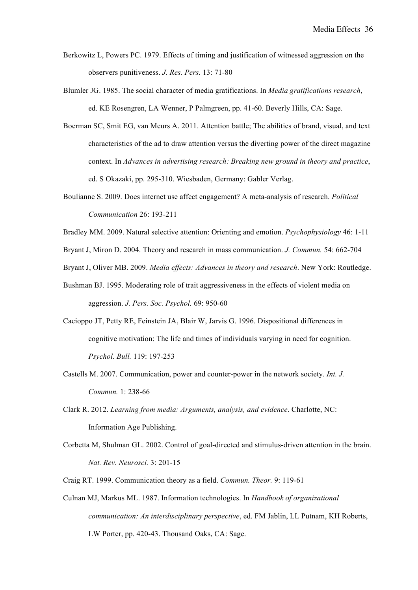- Berkowitz L, Powers PC. 1979. Effects of timing and justification of witnessed aggression on the observers punitiveness. *J. Res. Pers.* 13: 71-80
- Blumler JG. 1985. The social character of media gratifications. In *Media gratifications research*, ed. KE Rosengren, LA Wenner, P Palmgreen, pp. 41-60. Beverly Hills, CA: Sage.
- Boerman SC, Smit EG, van Meurs A. 2011. Attention battle; The abilities of brand, visual, and text characteristics of the ad to draw attention versus the diverting power of the direct magazine context. In *Advances in advertising research: Breaking new ground in theory and practice*, ed. S Okazaki, pp. 295-310. Wiesbaden, Germany: Gabler Verlag.
- Boulianne S. 2009. Does internet use affect engagement? A meta-analysis of research. *Political Communication* 26: 193-211
- Bradley MM. 2009. Natural selective attention: Orienting and emotion. *Psychophysiology* 46: 1-11
- Bryant J, Miron D. 2004. Theory and research in mass communication. *J. Commun.* 54: 662-704
- Bryant J, Oliver MB. 2009. *Media effects: Advances in theory and research*. New York: Routledge.
- Bushman BJ. 1995. Moderating role of trait aggressiveness in the effects of violent media on aggression. *J. Pers. Soc. Psychol.* 69: 950-60
- Cacioppo JT, Petty RE, Feinstein JA, Blair W, Jarvis G. 1996. Dispositional differences in cognitive motivation: The life and times of individuals varying in need for cognition. *Psychol. Bull.* 119: 197-253
- Castells M. 2007. Communication, power and counter-power in the network society. *Int. J. Commun.* 1: 238-66
- Clark R. 2012. *Learning from media: Arguments, analysis, and evidence*. Charlotte, NC: Information Age Publishing.
- Corbetta M, Shulman GL. 2002. Control of goal-directed and stimulus-driven attention in the brain. *Nat. Rev. Neurosci.* 3: 201-15
- Craig RT. 1999. Communication theory as a field. *Commun. Theor.* 9: 119-61
- Culnan MJ, Markus ML. 1987. Information technologies. In *Handbook of organizational communication: An interdisciplinary perspective*, ed. FM Jablin, LL Putnam, KH Roberts, LW Porter, pp. 420-43. Thousand Oaks, CA: Sage.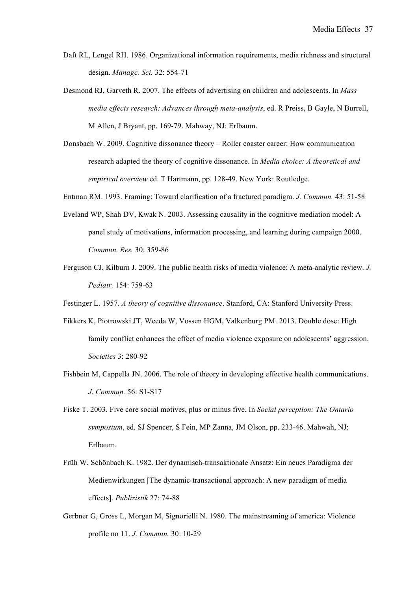- Daft RL, Lengel RH. 1986. Organizational information requirements, media richness and structural design. *Manage. Sci.* 32: 554-71
- Desmond RJ, Garveth R. 2007. The effects of advertising on children and adolescents. In *Mass media effects research: Advances through meta-analysis*, ed. R Preiss, B Gayle, N Burrell, M Allen, J Bryant, pp. 169-79. Mahway, NJ: Erlbaum.
- Donsbach W. 2009. Cognitive dissonance theory Roller coaster career: How communication research adapted the theory of cognitive dissonance. In *Media choice: A theoretical and empirical overview* ed. T Hartmann, pp. 128-49. New York: Routledge.
- Entman RM. 1993. Framing: Toward clarification of a fractured paradigm. *J. Commun.* 43: 51-58
- Eveland WP, Shah DV, Kwak N. 2003. Assessing causality in the cognitive mediation model: A panel study of motivations, information processing, and learning during campaign 2000. *Commun. Res.* 30: 359-86
- Ferguson CJ, Kilburn J. 2009. The public health risks of media violence: A meta-analytic review. *J. Pediatr.* 154: 759-63
- Festinger L. 1957. *A theory of cognitive dissonance*. Stanford, CA: Stanford University Press.
- Fikkers K, Piotrowski JT, Weeda W, Vossen HGM, Valkenburg PM. 2013. Double dose: High family conflict enhances the effect of media violence exposure on adolescents' aggression. *Societies* 3: 280-92
- Fishbein M, Cappella JN. 2006. The role of theory in developing effective health communications. *J. Commun.* 56: S1-S17
- Fiske T. 2003. Five core social motives, plus or minus five. In *Social perception: The Ontario symposium*, ed. SJ Spencer, S Fein, MP Zanna, JM Olson, pp. 233-46. Mahwah, NJ: Erlbaum.
- Früh W, Schönbach K. 1982. Der dynamisch-transaktionale Ansatz: Ein neues Paradigma der Medienwirkungen [The dynamic-transactional approach: A new paradigm of media effects]. *Publizistik* 27: 74-88
- Gerbner G, Gross L, Morgan M, Signorielli N. 1980. The mainstreaming of america: Violence profile no 11. *J. Commun.* 30: 10-29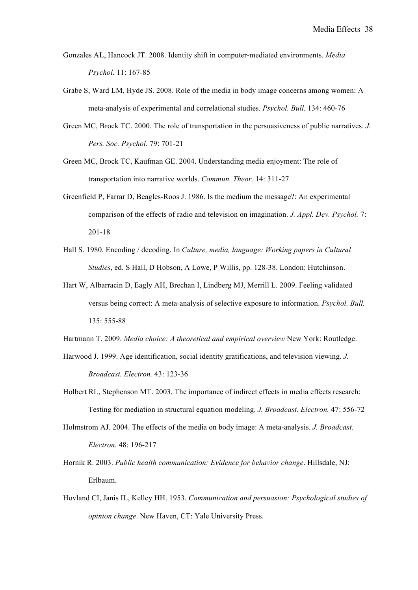- Gonzales AL, Hancock JT. 2008. Identity shift in computer-mediated environments. *Media Psychol.* 11: 167-85
- Grabe S, Ward LM, Hyde JS. 2008. Role of the media in body image concerns among women: A meta-analysis of experimental and correlational studies. *Psychol. Bull.* 134: 460-76
- Green MC, Brock TC. 2000. The role of transportation in the persuasiveness of public narratives. *J. Pers. Soc. Psychol.* 79: 701-21
- Green MC, Brock TC, Kaufman GE. 2004. Understanding media enjoyment: The role of transportation into narrative worlds. *Commun. Theor.* 14: 311-27
- Greenfield P, Farrar D, Beagles-Roos J. 1986. Is the medium the message?: An experimental comparison of the effects of radio and television on imagination. *J. Appl. Dev. Psychol.* 7: 201-18
- Hall S. 1980. Encoding / decoding. In *Culture, media, language: Working papers in Cultural Studies*, ed. S Hall, D Hobson, A Lowe, P Willis, pp. 128-38. London: Hutchinson.
- Hart W, Albarracin D, Eagly AH, Brechan I, Lindberg MJ, Merrill L. 2009. Feeling validated versus being correct: A meta-analysis of selective exposure to information. *Psychol. Bull.* 135: 555-88
- Hartmann T. 2009. *Media choice: A theoretical and empirical overview* New York: Routledge.
- Harwood J. 1999. Age identification, social identity gratifications, and television viewing. *J. Broadcast. Electron.* 43: 123-36
- Holbert RL, Stephenson MT. 2003. The importance of indirect effects in media effects research: Testing for mediation in structural equation modeling. *J. Broadcast. Electron.* 47: 556-72
- Holmstrom AJ. 2004. The effects of the media on body image: A meta-analysis. *J. Broadcast. Electron.* 48: 196-217
- Hornik R. 2003. *Public health communication: Evidence for behavior change*. Hillsdale, NJ: Erlbaum.
- Hovland CI, Janis IL, Kelley HH. 1953. *Communication and persuasion: Psychological studies of opinion change*. New Haven, CT: Yale University Press.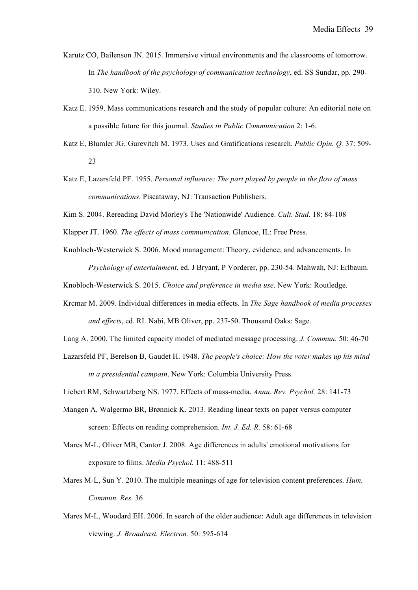- Karutz CO, Bailenson JN. 2015. Immersive virtual environments and the classrooms of tomorrow. In *The handbook of the psychology of communication technology*, ed. SS Sundar, pp. 290- 310. New York: Wiley.
- Katz E. 1959. Mass communications research and the study of popular culture: An editorial note on a possible future for this journal. *Studies in Public Communication* 2: 1-6.
- Katz E, Blumler JG, Gurevitch M. 1973. Uses and Gratifications research. *Public Opin. Q.* 37: 509- 23
- Katz E, Lazarsfeld PF. 1955. *Personal influence: The part played by people in the flow of mass communications*. Piscataway, NJ: Transaction Publishers.
- Kim S. 2004. Rereading David Morley's The 'Nationwide' Audience. *Cult. Stud.* 18: 84-108
- Klapper JT. 1960. *The effects of mass communication*. Glencoe, IL: Free Press.
- Knobloch-Westerwick S. 2006. Mood management: Theory, evidence, and advancements. In *Psychology of entertainment*, ed. J Bryant, P Vorderer, pp. 230-54. Mahwah, NJ: Erlbaum.

Knobloch-Westerwick S. 2015. *Choice and preference in media use*. New York: Routledge.

Krcmar M. 2009. Individual differences in media effects. In *The Sage handbook of media processes and effects*, ed. RL Nabi, MB Oliver, pp. 237-50. Thousand Oaks: Sage.

Lang A. 2000. The limited capacity model of mediated message processing. *J. Commun.* 50: 46-70

- Lazarsfeld PF, Berelson B, Gaudet H. 1948. *The people's choice: How the voter makes up his mind in a presidential campain*. New York: Columbia University Press.
- Liebert RM, Schwartzberg NS. 1977. Effects of mass-media. *Annu. Rev. Psychol.* 28: 141-73
- Mangen A, Walgermo BR, Brønnick K. 2013. Reading linear texts on paper versus computer screen: Effects on reading comprehension. *Int. J. Ed. R.* 58: 61-68
- Mares M-L, Oliver MB, Cantor J. 2008. Age differences in adults' emotional motivations for exposure to films. *Media Psychol.* 11: 488-511
- Mares M-L, Sun Y. 2010. The multiple meanings of age for television content preferences. *Hum. Commun. Res.* 36
- Mares M-L, Woodard EH. 2006. In search of the older audience: Adult age differences in television viewing. *J. Broadcast. Electron.* 50: 595-614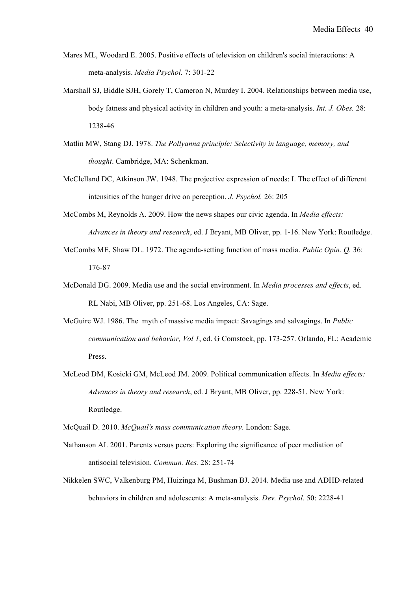- Mares ML, Woodard E. 2005. Positive effects of television on children's social interactions: A meta-analysis. *Media Psychol.* 7: 301-22
- Marshall SJ, Biddle SJH, Gorely T, Cameron N, Murdey I. 2004. Relationships between media use, body fatness and physical activity in children and youth: a meta-analysis. *Int. J. Obes.* 28: 1238-46
- Matlin MW, Stang DJ. 1978. *The Pollyanna principle: Selectivity in language, memory, and thought*. Cambridge, MA: Schenkman.
- McClelland DC, Atkinson JW. 1948. The projective expression of needs: I. The effect of different intensities of the hunger drive on perception. *J. Psychol.* 26: 205
- McCombs M, Reynolds A. 2009. How the news shapes our civic agenda. In *Media effects: Advances in theory and research*, ed. J Bryant, MB Oliver, pp. 1-16. New York: Routledge.
- McCombs ME, Shaw DL. 1972. The agenda-setting function of mass media. *Public Opin. Q.* 36: 176-87
- McDonald DG. 2009. Media use and the social environment. In *Media processes and effects*, ed. RL Nabi, MB Oliver, pp. 251-68. Los Angeles, CA: Sage.
- McGuire WJ. 1986. The myth of massive media impact: Savagings and salvagings. In *Public communication and behavior, Vol 1*, ed. G Comstock, pp. 173-257. Orlando, FL: Academic Press.
- McLeod DM, Kosicki GM, McLeod JM. 2009. Political communication effects. In *Media effects: Advances in theory and research*, ed. J Bryant, MB Oliver, pp. 228-51. New York: Routledge.
- McQuail D. 2010. *McQuail's mass communication theory*. London: Sage.
- Nathanson AI. 2001. Parents versus peers: Exploring the significance of peer mediation of antisocial television. *Commun. Res.* 28: 251-74
- Nikkelen SWC, Valkenburg PM, Huizinga M, Bushman BJ. 2014. Media use and ADHD-related behaviors in children and adolescents: A meta-analysis. *Dev. Psychol.* 50: 2228-41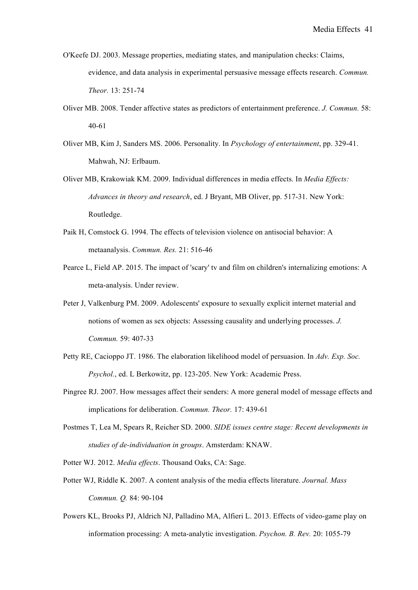- O'Keefe DJ. 2003. Message properties, mediating states, and manipulation checks: Claims, evidence, and data analysis in experimental persuasive message effects research. *Commun. Theor.* 13: 251-74
- Oliver MB. 2008. Tender affective states as predictors of entertainment preference. *J. Commun.* 58: 40-61
- Oliver MB, Kim J, Sanders MS. 2006. Personality. In *Psychology of entertainment*, pp. 329-41. Mahwah, NJ: Erlbaum.
- Oliver MB, Krakowiak KM. 2009. Individual differences in media effects. In *Media Effects: Advances in theory and research*, ed. J Bryant, MB Oliver, pp. 517-31. New York: Routledge.
- Paik H, Comstock G. 1994. The effects of television violence on antisocial behavior: A metaanalysis. *Commun. Res.* 21: 516-46
- Pearce L, Field AP. 2015. The impact of 'scary' tv and film on children's internalizing emotions: A meta-analysis. Under review.
- Peter J, Valkenburg PM. 2009. Adolescents' exposure to sexually explicit internet material and notions of women as sex objects: Assessing causality and underlying processes. *J. Commun.* 59: 407-33
- Petty RE, Cacioppo JT. 1986. The elaboration likelihood model of persuasion. In *Adv. Exp. Soc. Psychol.*, ed. L Berkowitz, pp. 123-205. New York: Academic Press.
- Pingree RJ. 2007. How messages affect their senders: A more general model of message effects and implications for deliberation. *Commun. Theor.* 17: 439-61
- Postmes T, Lea M, Spears R, Reicher SD. 2000. *SIDE issues centre stage: Recent developments in studies of de-individuation in groups*. Amsterdam: KNAW.
- Potter WJ. 2012. *Media effects*. Thousand Oaks, CA: Sage.
- Potter WJ, Riddle K. 2007. A content analysis of the media effects literature. *Journal. Mass Commun. Q.* 84: 90-104
- Powers KL, Brooks PJ, Aldrich NJ, Palladino MA, Alfieri L. 2013. Effects of video-game play on information processing: A meta-analytic investigation. *Psychon. B. Rev.* 20: 1055-79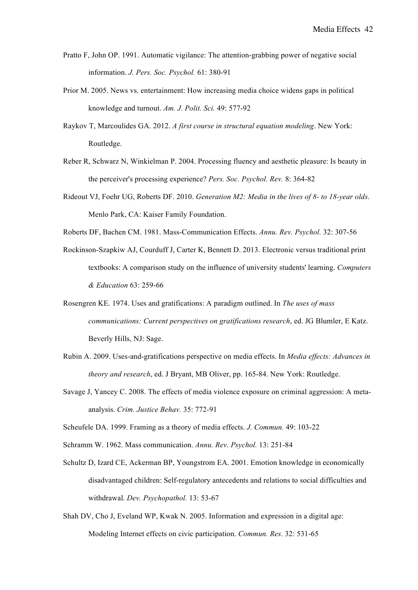- Pratto F, John OP. 1991. Automatic vigilance: The attention-grabbing power of negative social information. *J. Pers. Soc. Psychol.* 61: 380-91
- Prior M. 2005. News vs. entertainment: How increasing media choice widens gaps in political knowledge and turnout. *Am. J. Polit. Sci.* 49: 577-92
- Raykov T, Marcoulides GA. 2012. *A first course in structural equation modeling*. New York: Routledge.
- Reber R, Schwarz N, Winkielman P. 2004. Processing fluency and aesthetic pleasure: Is beauty in the perceiver's processing experience? *Pers. Soc. Psychol. Rev.* 8: 364-82
- Rideout VJ, Foehr UG, Roberts DF. 2010. *Generation M2: Media in the lives of 8- to 18-year olds*. Menlo Park, CA: Kaiser Family Foundation.
- Roberts DF, Bachen CM. 1981. Mass-Communication Effects. *Annu. Rev. Psychol.* 32: 307-56
- Rockinson-Szapkiw AJ, Courduff J, Carter K, Bennett D. 2013. Electronic versus traditional print textbooks: A comparison study on the influence of university students' learning. *Computers & Education* 63: 259-66
- Rosengren KE. 1974. Uses and gratifications: A paradigm outlined. In *The uses of mass communications: Current perspectives on gratifications research*, ed. JG Blumler, E Katz. Beverly Hills, NJ: Sage.
- Rubin A. 2009. Uses-and-gratifications perspective on media effects. In *Media effects: Advances in theory and research*, ed. J Bryant, MB Oliver, pp. 165-84. New York: Routledge.
- Savage J, Yancey C. 2008. The effects of media violence exposure on criminal aggression: A metaanalysis. *Crim. Justice Behav.* 35: 772-91

Scheufele DA. 1999. Framing as a theory of media effects. *J. Commun.* 49: 103-22

- Schramm W. 1962. Mass communication. *Annu. Rev. Psychol.* 13: 251-84
- Schultz D, Izard CE, Ackerman BP, Youngstrom EA. 2001. Emotion knowledge in economically disadvantaged children: Self-regulatory antecedents and relations to social difficulties and withdrawal. *Dev. Psychopathol.* 13: 53-67
- Shah DV, Cho J, Eveland WP, Kwak N. 2005. Information and expression in a digital age: Modeling Internet effects on civic participation. *Commun. Res.* 32: 531-65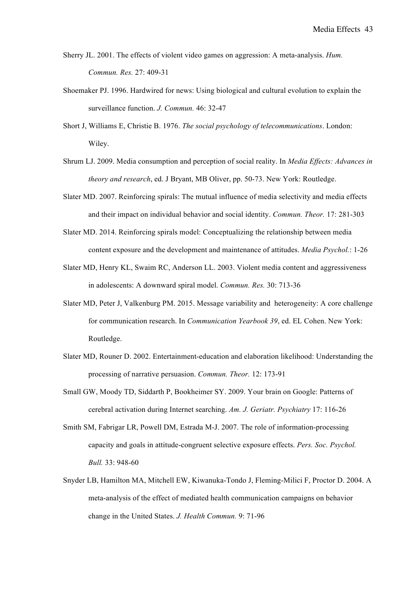- Sherry JL. 2001. The effects of violent video games on aggression: A meta-analysis. *Hum. Commun. Res.* 27: 409-31
- Shoemaker PJ. 1996. Hardwired for news: Using biological and cultural evolution to explain the surveillance function. *J. Commun.* 46: 32-47
- Short J, Williams E, Christie B. 1976. *The social psychology of telecommunications*. London: Wiley.
- Shrum LJ. 2009. Media consumption and perception of social reality. In *Media Effects: Advances in theory and research*, ed. J Bryant, MB Oliver, pp. 50-73. New York: Routledge.
- Slater MD. 2007. Reinforcing spirals: The mutual influence of media selectivity and media effects and their impact on individual behavior and social identity. *Commun. Theor.* 17: 281-303
- Slater MD. 2014. Reinforcing spirals model: Conceptualizing the relationship between media content exposure and the development and maintenance of attitudes. *Media Psychol.*: 1-26
- Slater MD, Henry KL, Swaim RC, Anderson LL. 2003. Violent media content and aggressiveness in adolescents: A downward spiral model. *Commun. Res.* 30: 713-36
- Slater MD, Peter J, Valkenburg PM. 2015. Message variability and heterogeneity: A core challenge for communication research. In *Communication Yearbook 39*, ed. EL Cohen. New York: Routledge.
- Slater MD, Rouner D. 2002. Entertainment-education and elaboration likelihood: Understanding the processing of narrative persuasion. *Commun. Theor.* 12: 173-91
- Small GW, Moody TD, Siddarth P, Bookheimer SY. 2009. Your brain on Google: Patterns of cerebral activation during Internet searching. *Am. J. Geriatr. Psychiatry* 17: 116-26
- Smith SM, Fabrigar LR, Powell DM, Estrada M-J. 2007. The role of information-processing capacity and goals in attitude-congruent selective exposure effects. *Pers. Soc. Psychol. Bull.* 33: 948-60
- Snyder LB, Hamilton MA, Mitchell EW, Kiwanuka-Tondo J, Fleming-Milici F, Proctor D. 2004. A meta-analysis of the effect of mediated health communication campaigns on behavior change in the United States. *J. Health Commun.* 9: 71-96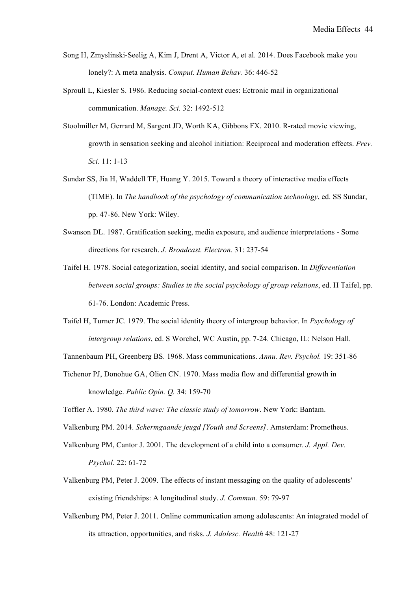- Song H, Zmyslinski-Seelig A, Kim J, Drent A, Victor A, et al. 2014. Does Facebook make you lonely?: A meta analysis. *Comput. Human Behav.* 36: 446-52
- Sproull L, Kiesler S. 1986. Reducing social-context cues: Ectronic mail in organizational communication. *Manage. Sci.* 32: 1492-512
- Stoolmiller M, Gerrard M, Sargent JD, Worth KA, Gibbons FX. 2010. R-rated movie viewing, growth in sensation seeking and alcohol initiation: Reciprocal and moderation effects. *Prev. Sci.* 11: 1-13
- Sundar SS, Jia H, Waddell TF, Huang Y. 2015. Toward a theory of interactive media effects (TIME). In *The handbook of the psychology of communication technology*, ed. SS Sundar, pp. 47-86. New York: Wiley.
- Swanson DL. 1987. Gratification seeking, media exposure, and audience interpretations Some directions for research. *J. Broadcast. Electron.* 31: 237-54
- Taifel H. 1978. Social categorization, social identity, and social comparison. In *Differentiation between social groups: Studies in the social psychology of group relations*, ed. H Taifel, pp. 61-76. London: Academic Press.
- Taifel H, Turner JC. 1979. The social identity theory of intergroup behavior. In *Psychology of intergroup relations*, ed. S Worchel, WC Austin, pp. 7-24. Chicago, IL: Nelson Hall.

Tannenbaum PH, Greenberg BS. 1968. Mass communications. *Annu. Rev. Psychol.* 19: 351-86

Tichenor PJ, Donohue GA, Olien CN. 1970. Mass media flow and differential growth in knowledge. *Public Opin. Q.* 34: 159-70

Toffler A. 1980. *The third wave: The classic study of tomorrow*. New York: Bantam.

Valkenburg PM. 2014. *Schermgaande jeugd [Youth and Screens]*. Amsterdam: Prometheus.

- Valkenburg PM, Cantor J. 2001. The development of a child into a consumer. *J. Appl. Dev. Psychol.* 22: 61-72
- Valkenburg PM, Peter J. 2009. The effects of instant messaging on the quality of adolescents' existing friendships: A longitudinal study. *J. Commun.* 59: 79-97
- Valkenburg PM, Peter J. 2011. Online communication among adolescents: An integrated model of its attraction, opportunities, and risks. *J. Adolesc. Health* 48: 121-27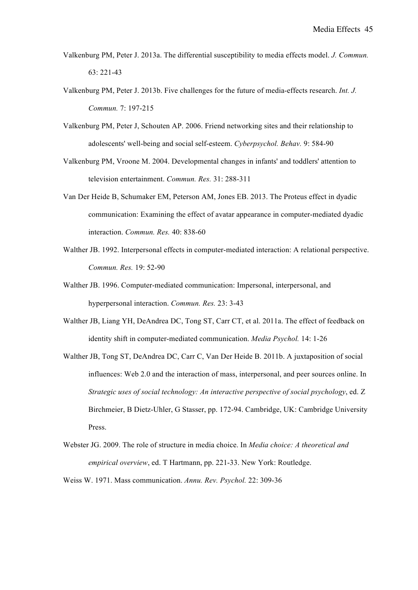- Valkenburg PM, Peter J. 2013a. The differential susceptibility to media effects model. *J. Commun.* 63: 221-43
- Valkenburg PM, Peter J. 2013b. Five challenges for the future of media-effects research. *Int. J. Commun.* 7: 197-215
- Valkenburg PM, Peter J, Schouten AP. 2006. Friend networking sites and their relationship to adolescents' well-being and social self-esteem. *Cyberpsychol. Behav.* 9: 584-90
- Valkenburg PM, Vroone M. 2004. Developmental changes in infants' and toddlers' attention to television entertainment. *Commun. Res.* 31: 288-311
- Van Der Heide B, Schumaker EM, Peterson AM, Jones EB. 2013. The Proteus effect in dyadic communication: Examining the effect of avatar appearance in computer-mediated dyadic interaction. *Commun. Res.* 40: 838-60
- Walther JB. 1992. Interpersonal effects in computer-mediated interaction: A relational perspective. *Commun. Res.* 19: 52-90
- Walther JB. 1996. Computer-mediated communication: Impersonal, interpersonal, and hyperpersonal interaction. *Commun. Res.* 23: 3-43
- Walther JB, Liang YH, DeAndrea DC, Tong ST, Carr CT, et al. 2011a. The effect of feedback on identity shift in computer-mediated communication. *Media Psychol.* 14: 1-26
- Walther JB, Tong ST, DeAndrea DC, Carr C, Van Der Heide B. 2011b. A juxtaposition of social influences: Web 2.0 and the interaction of mass, interpersonal, and peer sources online. In *Strategic uses of social technology: An interactive perspective of social psychology*, ed. Z Birchmeier, B Dietz-Uhler, G Stasser, pp. 172-94. Cambridge, UK: Cambridge University Press.
- Webster JG. 2009. The role of structure in media choice. In *Media choice: A theoretical and empirical overview*, ed. T Hartmann, pp. 221-33. New York: Routledge.

Weiss W. 1971. Mass communication. *Annu. Rev. Psychol.* 22: 309-36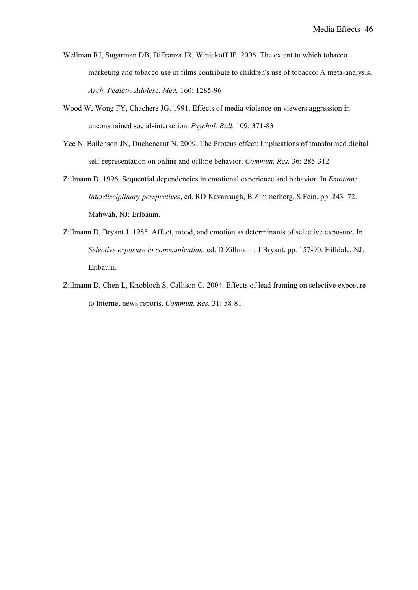- Wellman RJ, Sugarman DB, DiFranza JR, Winickoff JP. 2006. The extent to which tobacco marketing and tobacco use in films contribute to children's use of tobacco: A meta-analysis. *Arch. Pediatr. Adolesc. Med.* 160: 1285-96
- Wood W, Wong FY, Chachere JG. 1991. Effects of media violence on viewers aggression in unconstrained social-interaction. *Psychol. Bull.* 109: 371-83
- Yee N, Bailenson JN, Ducheneaut N. 2009. The Proteus effect: Implications of transformed digital self-representation on online and offline behavior. *Commun. Res.* 36: 285-312
- Zillmann D. 1996. Sequential dependencies in emotional experience and behavior. In *Emotion: Interdisciplinary perspectives*, ed. RD Kavanaugh, B Zimmerberg, S Fein, pp. 243–72. Mahwah, NJ: Erlbaum.
- Zillmann D, Bryant J. 1985. Affect, mood, and emotion as determinants of selective exposure. In *Selective exposure to communication*, ed. D Zillmann, J Bryant, pp. 157-90. Hilldale, NJ: Erlbaum.
- Zillmann D, Chen L, Knobloch S, Callison C. 2004. Effects of lead framing on selective exposure to Internet news reports. *Commun. Res.* 31: 58-81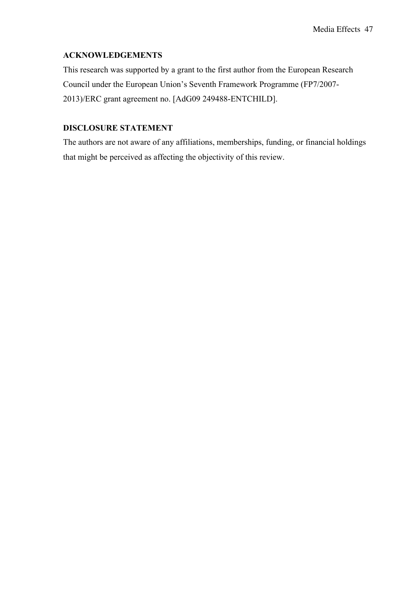# **ACKNOWLEDGEMENTS**

This research was supported by a grant to the first author from the European Research Council under the European Union's Seventh Framework Programme (FP7/2007- 2013)/ERC grant agreement no. [AdG09 249488-ENTCHILD].

# **DISCLOSURE STATEMENT**

The authors are not aware of any affiliations, memberships, funding, or financial holdings that might be perceived as affecting the objectivity of this review.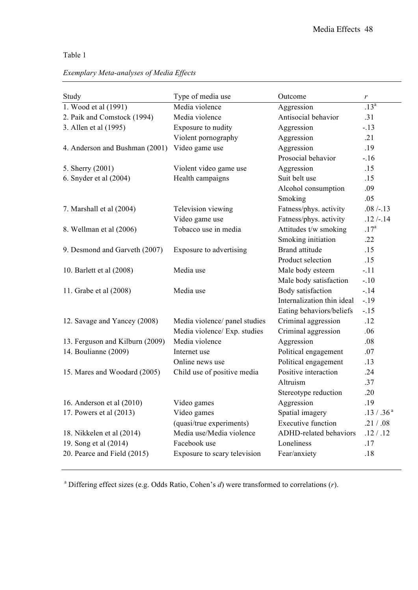Table 1

# *Exemplary Meta-analyses of Media Effects*

| Study                           | Type of media use             | Outcome                    | r                      |
|---------------------------------|-------------------------------|----------------------------|------------------------|
| 1. Wood et al (1991)            | Media violence                | Aggression                 | .13 <sup>a</sup>       |
| 2. Paik and Comstock (1994)     | Media violence                | Antisocial behavior        | .31                    |
| 3. Allen et al (1995)           | Exposure to nudity            | Aggression                 | $-.13$                 |
|                                 | Violent pornography           | Aggression                 | .21                    |
| 4. Anderson and Bushman (2001)  | Video game use                | Aggression                 | .19                    |
|                                 |                               | Prosocial behavior         | $-16$                  |
| 5. Sherry (2001)                | Violent video game use        | Aggression                 | .15                    |
| 6. Snyder et al (2004)          | Health campaigns              | Suit belt use              | .15                    |
|                                 |                               | Alcohol consumption        | .09                    |
|                                 |                               | Smoking                    | .05                    |
| 7. Marshall et al (2004)        | Television viewing            | Fatness/phys. activity     | $.08/-13$              |
|                                 | Video game use                | Fatness/phys. activity     | $.12/-.14$             |
| 8. Wellman et al (2006)         | Tobacco use in media          | Attitudes t/w smoking      | $.17^{\rm a}$          |
|                                 |                               | Smoking initiation         | .22                    |
| 9. Desmond and Garveth (2007)   | Exposure to advertising       | <b>Brand attitude</b>      | .15                    |
|                                 |                               | Product selection          | .15                    |
| 10. Barlett et al (2008)        | Media use                     | Male body esteem           | $-.11$                 |
|                                 |                               | Male body satisfaction     | $-.10$                 |
| 11. Grabe et al (2008)          | Media use                     | Body satisfaction          | $-.14$                 |
|                                 |                               | Internalization thin ideal | $-.19$                 |
|                                 |                               | Eating behaviors/beliefs   | $-.15$                 |
| 12. Savage and Yancey (2008)    | Media violence/ panel studies | Criminal aggression        | .12                    |
|                                 | Media violence/ Exp. studies  | Criminal aggression        | .06                    |
| 13. Ferguson and Kilburn (2009) | Media violence                | Aggression                 | .08                    |
| 14. Boulianne (2009)            | Internet use                  | Political engagement       | .07                    |
|                                 | Online news use               | Political engagement       | .13                    |
| 15. Mares and Woodard (2005)    | Child use of positive media   | Positive interaction       | .24                    |
|                                 |                               | Altruism                   | .37                    |
|                                 |                               | Stereotype reduction       | .20                    |
| 16. Anderson et al (2010)       | Video games                   | Aggression                 | .19                    |
| 17. Powers et al (2013)         | Video games                   | Spatial imagery            | .13 / .36 <sup>a</sup> |
|                                 | (quasi/true experiments)      | <b>Executive function</b>  | .21 / .08              |
| 18. Nikkelen et al (2014)       | Media use/Media violence      | ADHD-related behaviors     | .12 / .12              |
| 19. Song et al (2014)           | Facebook use                  | Loneliness                 | .17                    |
| 20. Pearce and Field (2015)     | Exposure to scary television  | Fear/anxiety               | .18                    |
|                                 |                               |                            |                        |

<sup>a</sup> Differing effect sizes (e.g. Odds Ratio, Cohen's *d*) were transformed to correlations (*r*).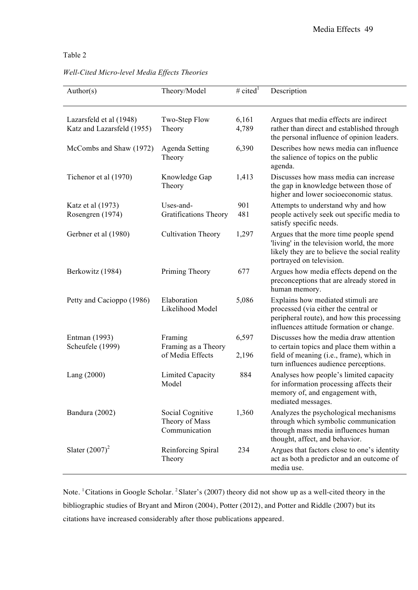# Table 2

### *Well-Cited Micro-level Media Effects Theories*

| Author(s)                                             | Theory/Model                                        | # cited <sup>1</sup> | Description                                                                                                                                                         |
|-------------------------------------------------------|-----------------------------------------------------|----------------------|---------------------------------------------------------------------------------------------------------------------------------------------------------------------|
| Lazarsfeld et al (1948)<br>Katz and Lazarsfeld (1955) | Two-Step Flow<br>Theory                             | 6,161<br>4,789       | Argues that media effects are indirect<br>rather than direct and established through<br>the personal influence of opinion leaders.                                  |
| McCombs and Shaw (1972)                               | <b>Agenda Setting</b><br>Theory                     | 6,390                | Describes how news media can influence<br>the salience of topics on the public<br>agenda.                                                                           |
| Tichenor et al (1970)                                 | Knowledge Gap<br>Theory                             | 1,413                | Discusses how mass media can increase<br>the gap in knowledge between those of<br>higher and lower socioeconomic status.                                            |
| Katz et al (1973)<br>Rosengren (1974)                 | Uses-and-<br>Gratifications Theory                  | 901<br>481           | Attempts to understand why and how<br>people actively seek out specific media to<br>satisfy specific needs.                                                         |
| Gerbner et al (1980)                                  | <b>Cultivation Theory</b>                           | 1,297                | Argues that the more time people spend<br>'living' in the television world, the more<br>likely they are to believe the social reality<br>portrayed on television.   |
| Berkowitz (1984)                                      | Priming Theory                                      | 677                  | Argues how media effects depend on the<br>preconceptions that are already stored in<br>human memory.                                                                |
| Petty and Cacioppo (1986)                             | Elaboration<br>Likelihood Model                     | 5,086                | Explains how mediated stimuli are<br>processed (via either the central or<br>peripheral route), and how this processing<br>influences attitude formation or change. |
| Entman (1993)                                         | Framing                                             | 6,597                | Discusses how the media draw attention                                                                                                                              |
| Scheufele (1999)                                      | Framing as a Theory<br>of Media Effects             | 2,196                | to certain topics and place them within a<br>field of meaning (i.e., frame), which in<br>turn influences audience perceptions.                                      |
| Lang $(2000)$                                         | Limited Capacity<br>Model                           | 884                  | Analyses how people's limited capacity<br>for information processing affects their<br>memory of, and engagement with,<br>mediated messages.                         |
| Bandura (2002)                                        | Social Cognitive<br>Theory of Mass<br>Communication | 1,360                | Analyzes the psychological mechanisms<br>through which symbolic communication<br>through mass media influences human<br>thought, affect, and behavior.              |
| Slater $(2007)^2$                                     | Reinforcing Spiral<br>Theory                        | 234                  | Argues that factors close to one's identity<br>act as both a predictor and an outcome of<br>media use.                                                              |

Note. 1 Citations in Google Scholar. 2 Slater's (2007) theory did not show up as a well-cited theory in the bibliographic studies of Bryant and Miron (2004), Potter (2012), and Potter and Riddle (2007) but its citations have increased considerably after those publications appeared.